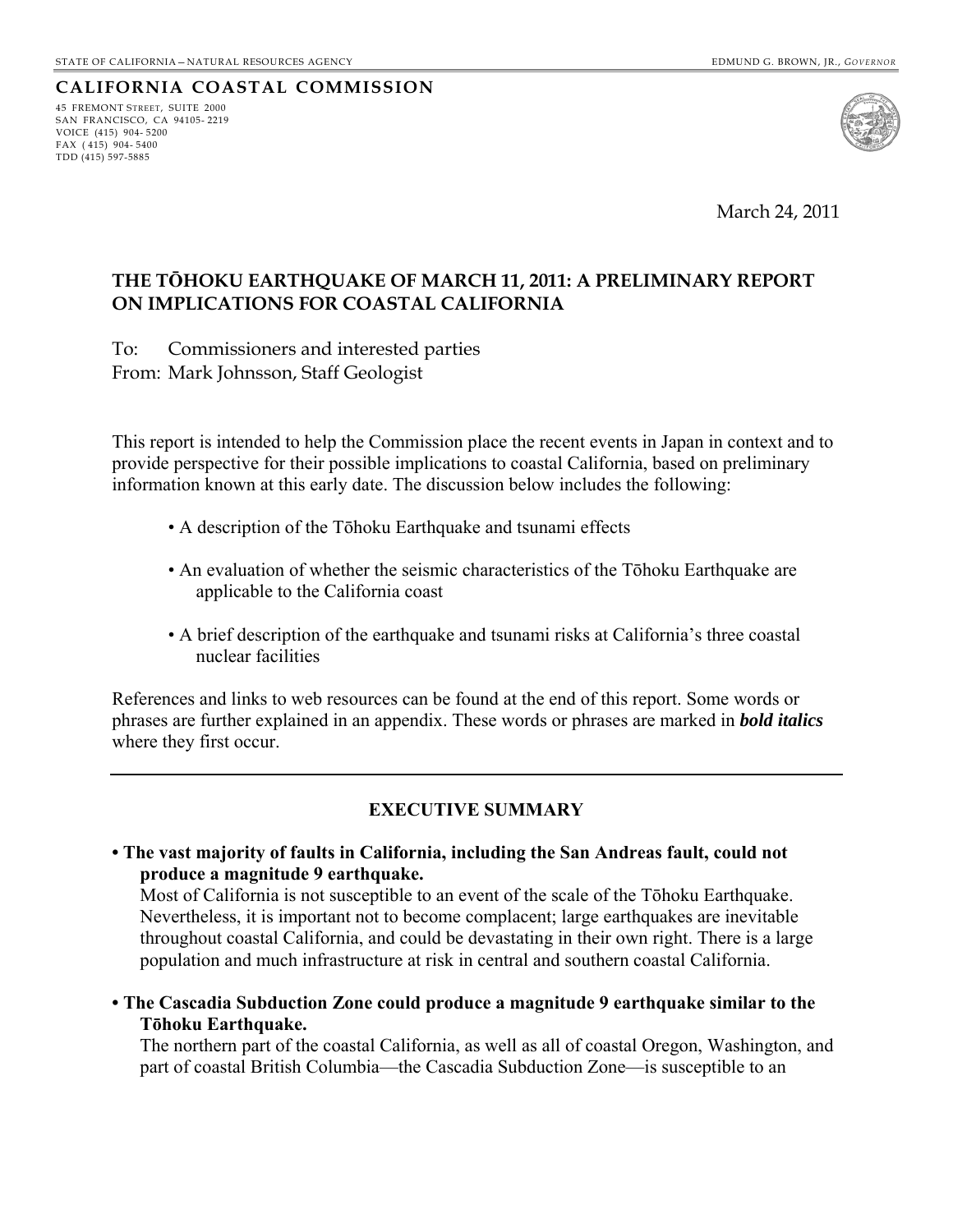## **CALIFORNIA COASTAL COMMISSION**

45 FREMONT STREET, SUITE 2000 SAN FRANCISCO, CA 94105- 2219 VOICE (415) 904- 5200 FAX  $(415)$  904-5400 TDD (415) 597-5885



March 24, 2011

### **THE TŌHOKU EARTHQUAKE OF MARCH 11, 2011: A PRELIMINARY REPORT ON IMPLICATIONS FOR COASTAL CALIFORNIA**

To: Commissioners and interested parties From: Mark Johnsson, Staff Geologist

This report is intended to help the Commission place the recent events in Japan in context and to provide perspective for their possible implications to coastal California, based on preliminary information known at this early date. The discussion below includes the following:

- A description of the Tōhoku Earthquake and tsunami effects
- An evaluation of whether the seismic characteristics of the Tōhoku Earthquake are applicable to the California coast
- A brief description of the earthquake and tsunami risks at California's three coastal nuclear facilities

References and links to web resources can be found at the end of this report. Some words or phrases are further explained in an appendix. These words or phrases are marked in *bold italics*  where they first occur.

## **EXECUTIVE SUMMARY**

**• The vast majority of faults in California, including the San Andreas fault, could not produce a magnitude 9 earthquake.** 

Most of California is not susceptible to an event of the scale of the Tōhoku Earthquake. Nevertheless, it is important not to become complacent; large earthquakes are inevitable throughout coastal California, and could be devastating in their own right. There is a large population and much infrastructure at risk in central and southern coastal California.

<span id="page-0-0"></span>**• The Cascadia Subduction Zone could produce a magnitude 9 earthquake similar to the Tōhoku Earthquake.**

The northern part of the coastal California, as well as all of coastal Oregon, Washington, and part of coastal British Columbia—the Cascadia Subduction Zone—is susceptible to an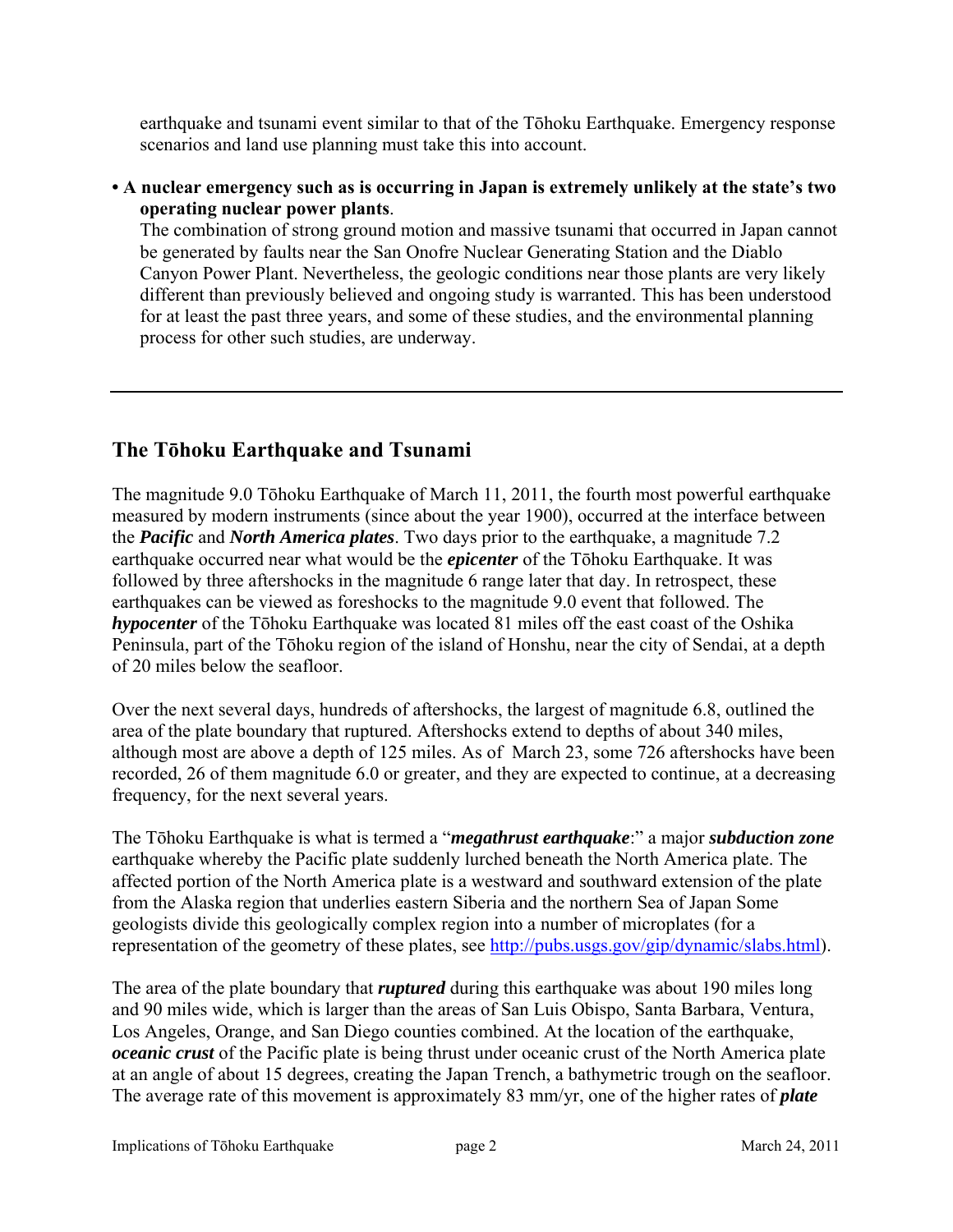earthquake and tsunami event similar to that of the Tōhoku Earthquake. Emergency response scenarios and land use planning must take this into account.

### **• A nuclear emergency such as is occurring in Japan is extremely unlikely at the state's two operating nuclear power plants**.

The combination of strong ground motion and massive tsunami that occurred in Japan cannot be generated by faults near the San Onofre Nuclear Generating Station and the Diablo Canyon Power Plant. Nevertheless, the geologic conditions near those plants are very likely different than previously believed and ongoing study is warranted. This has been understood for at least the past three years, and some of these studies, and the environmental planning process for other such studies, are underway.

## **The Tōhoku Earthquake and Tsunami**

The magnitude 9.0 Tōhoku Earthquake of March 11, 2011, the fourth most powerful earthquake measured by modern instruments (since about the year 1900), occurred at the interface between the *Pacific* and *North America plates*. Two days prior to the earthquake, a magnitude 7.2 earthquake occurred near what would be the *epicenter* of the Tōhoku Earthquake. It was followed by three aftershocks in the magnitude 6 range later that day. In retrospect, these earthquakes can be viewed as foreshocks to the magnitude 9.0 event that followed. The *hypocenter* of the Tōhoku Earthquake was located 81 miles off the east coast of the Oshika Peninsula, part of the Tōhoku region of the island of Honshu, near the city of Sendai, at a depth of 20 miles below the seafloor.

Over the next several days, hundreds of aftershocks, the largest of magnitude 6.8, outlined the area of the plate boundary that ruptured. Aftershocks extend to depths of about 340 miles, although most are above a depth of 125 miles. As of March 23, some 726 aftershocks have been recorded, 26 of them magnitude 6.0 or greater, and they are expected to continue, at a decreasing frequency, for the next several years.

The Tōhoku Earthquake is what is termed a "*megathrust earthquake*:" a major *subduction zone* earthquake whereby the Pacific plate suddenly lurched beneath the North America plate. The affected portion of the North America plate is a westward and southward extension of the plate from the Alaska region that underlies eastern Siberia and the northern Sea of Japan Some geologists divide this geologically complex region into a number of microplates (for a representation of the geometry of these plates, see<http://pubs.usgs.gov/gip/dynamic/slabs.html>).

The area of the plate boundary that *ruptured* during this earthquake was about 190 miles long and 90 miles wide, which is larger than the areas of San Luis Obispo, Santa Barbara, Ventura, Los Angeles, Orange, and San Diego counties combined. At the location of the earthquake, *oceanic crust* of the Pacific plate is being thrust under oceanic crust of the North America plate at an angle of about 15 degrees, creating the Japan Trench, a bathymetric trough on the seafloor. The average rate of this movement is approximately 83 mm/yr, one of the higher rates of *plate*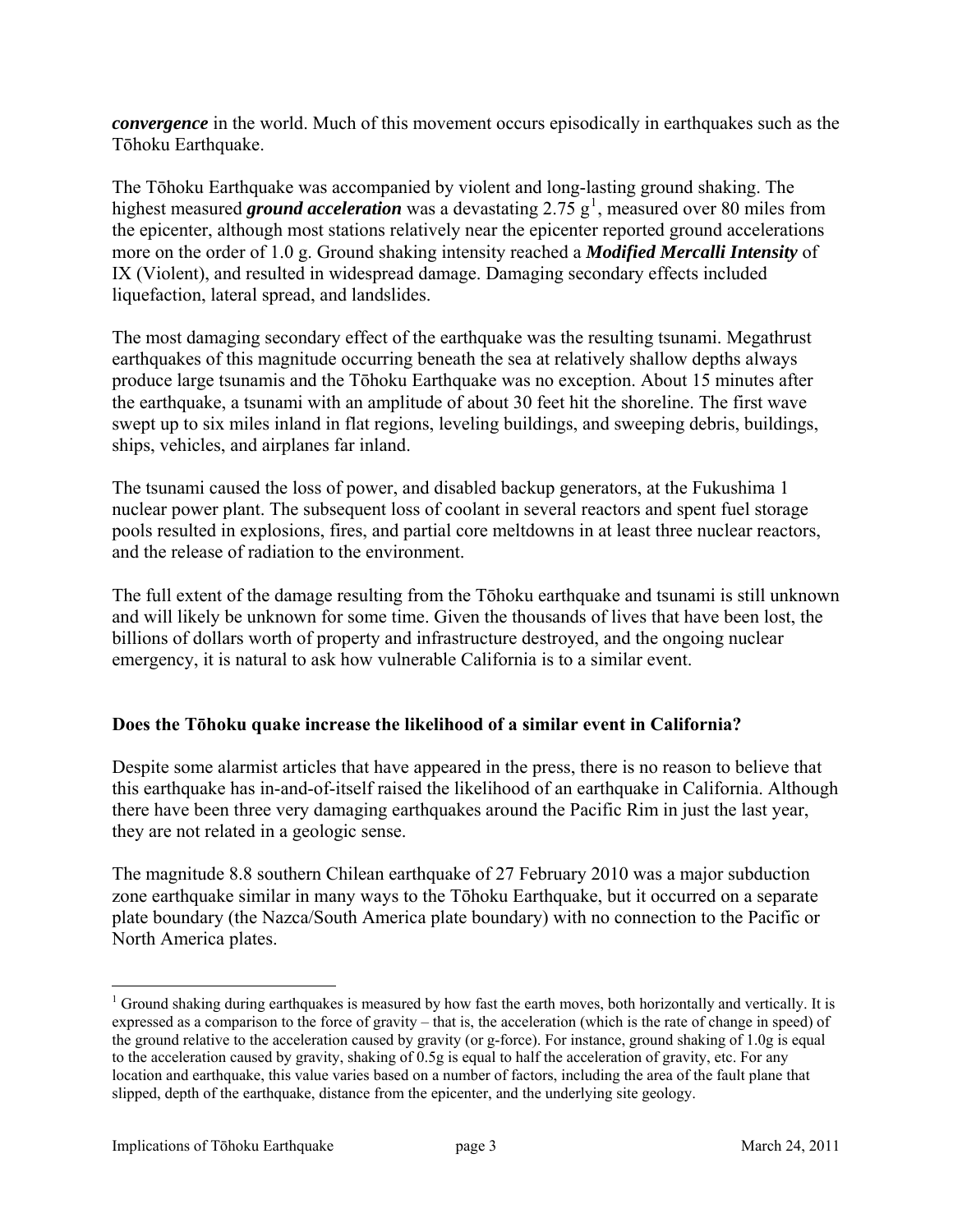*convergence* in the world. Much of this movement occurs episodically in earthquakes such as the Tōhoku Earthquake.

The Tōhoku Earthquake was accompanied by violent and long-lasting ground shaking. The highest measured *ground acceleration* was a devastating  $2.75 \text{ g}^1$  $2.75 \text{ g}^1$ , measured over 80 miles from the epicenter, although most stations relatively near the epicenter reported ground accelerations more on the order of 1.0 g. Ground shaking intensity reached a *Modified Mercalli Intensity* of IX (Violent), and resulted in widespread damage. Damaging secondary effects included liquefaction, lateral spread, and landslides.

The most damaging secondary effect of the earthquake was the resulting tsunami. Megathrust earthquakes of this magnitude occurring beneath the sea at relatively shallow depths always produce large tsunamis and the Tōhoku Earthquake was no exception. About 15 minutes after the earthquake, a tsunami with an amplitude of about 30 feet hit the shoreline. The first wave swept up to six miles inland in flat regions, leveling buildings, and sweeping debris, buildings, ships, vehicles, and airplanes far inland.

The tsunami caused the loss of power, and disabled backup generators, at the Fukushima 1 nuclear power plant. The subsequent loss of coolant in several reactors and spent fuel storage pools resulted in explosions, fires, and partial core meltdowns in at least three nuclear reactors, and the release of radiation to the environment.

The full extent of the damage resulting from the Tōhoku earthquake and tsunami is still unknown and will likely be unknown for some time. Given the thousands of lives that have been lost, the billions of dollars worth of property and infrastructure destroyed, and the ongoing nuclear emergency, it is natural to ask how vulnerable California is to a similar event.

### **Does the Tōhoku quake increase the likelihood of a similar event in California?**

Despite some alarmist articles that have appeared in the press, there is no reason to believe that this earthquake has in-and-of-itself raised the likelihood of an earthquake in California. Although there have been three very damaging earthquakes around the Pacific Rim in just the last year, they are not related in a geologic sense.

The magnitude 8.8 southern Chilean earthquake of 27 February 2010 was a major subduction zone earthquake similar in many ways to the Tōhoku Earthquake, but it occurred on a separate plate boundary (the Nazca/South America plate boundary) with no connection to the Pacific or North America plates.

 $\overline{a}$ 

 $1$  Ground shaking during earthquakes is measured by how fast the earth moves, both horizontally and vertically. It is expressed as a comparison to the force of gravity – that is, the acceleration (which is the rate of change in speed) of the ground relative to the acceleration caused by gravity (or g-force). For instance, ground shaking of 1.0g is equal to the acceleration caused by gravity, shaking of 0.5g is equal to half the acceleration of gravity, etc. For any location and earthquake, this value varies based on a number of factors, including the area of the fault plane that slipped, depth of the earthquake, distance from the epicenter, and the underlying site geology.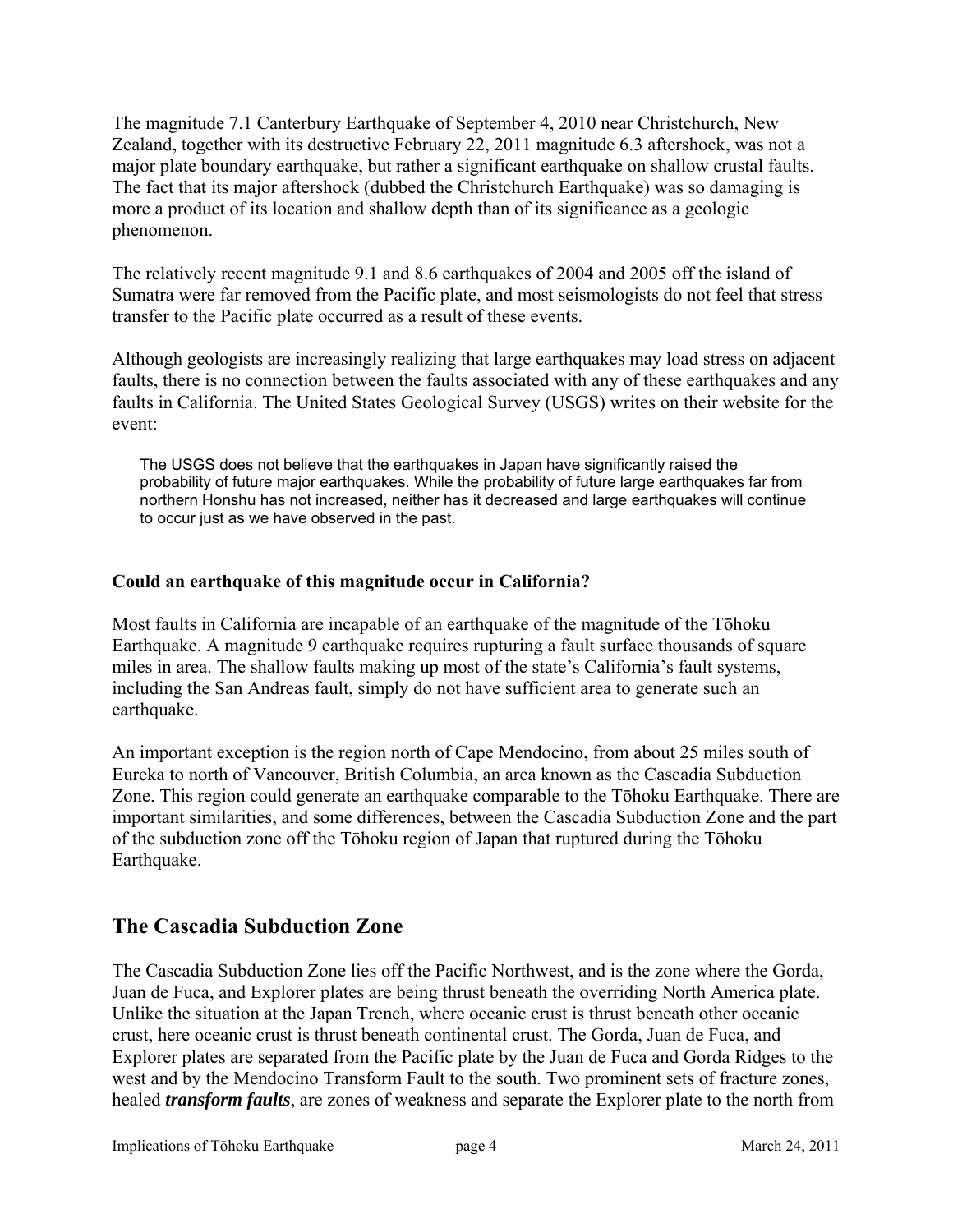The magnitude 7.1 Canterbury Earthquake of September 4, 2010 near Christchurch, New Zealand, together with its destructive February 22, 2011 magnitude 6.3 aftershock, was not a major plate boundary earthquake, but rather a significant earthquake on shallow crustal faults. The fact that its major aftershock (dubbed the Christchurch Earthquake) was so damaging is more a product of its location and shallow depth than of its significance as a geologic phenomenon.

The relatively recent magnitude 9.1 and 8.6 earthquakes of 2004 and 2005 off the island of Sumatra were far removed from the Pacific plate, and most seismologists do not feel that stress transfer to the Pacific plate occurred as a result of these events.

Although geologists are increasingly realizing that large earthquakes may load stress on adjacent faults, there is no connection between the faults associated with any of these earthquakes and any faults in California. The United States Geological Survey (USGS) writes on their website for the event:

The USGS does not believe that the earthquakes in Japan have significantly raised the probability of future major earthquakes. While the probability of future large earthquakes far from northern Honshu has not increased, neither has it decreased and large earthquakes will continue to occur just as we have observed in the past.

### **Could an earthquake of this magnitude occur in California?**

Most faults in California are incapable of an earthquake of the magnitude of the Tōhoku Earthquake. A magnitude 9 earthquake requires rupturing a fault surface thousands of square miles in area. The shallow faults making up most of the state's California's fault systems, including the San Andreas fault, simply do not have sufficient area to generate such an earthquake.

An important exception is the region north of Cape Mendocino, from about 25 miles south of Eureka to north of Vancouver, British Columbia, an area known as the Cascadia Subduction Zone. This region could generate an earthquake comparable to the Tōhoku Earthquake. There are important similarities, and some differences, between the Cascadia Subduction Zone and the part of the subduction zone off the Tōhoku region of Japan that ruptured during the Tōhoku Earthquake.

## **The Cascadia Subduction Zone**

The Cascadia Subduction Zone lies off the Pacific Northwest, and is the zone where the Gorda, Juan de Fuca, and Explorer plates are being thrust beneath the overriding North America plate. Unlike the situation at the Japan Trench, where oceanic crust is thrust beneath other oceanic crust, here oceanic crust is thrust beneath continental crust. The Gorda, Juan de Fuca, and Explorer plates are separated from the Pacific plate by the Juan de Fuca and Gorda Ridges to the west and by the Mendocino Transform Fault to the south. Two prominent sets of fracture zones, healed *transform faults*, are zones of weakness and separate the Explorer plate to the north from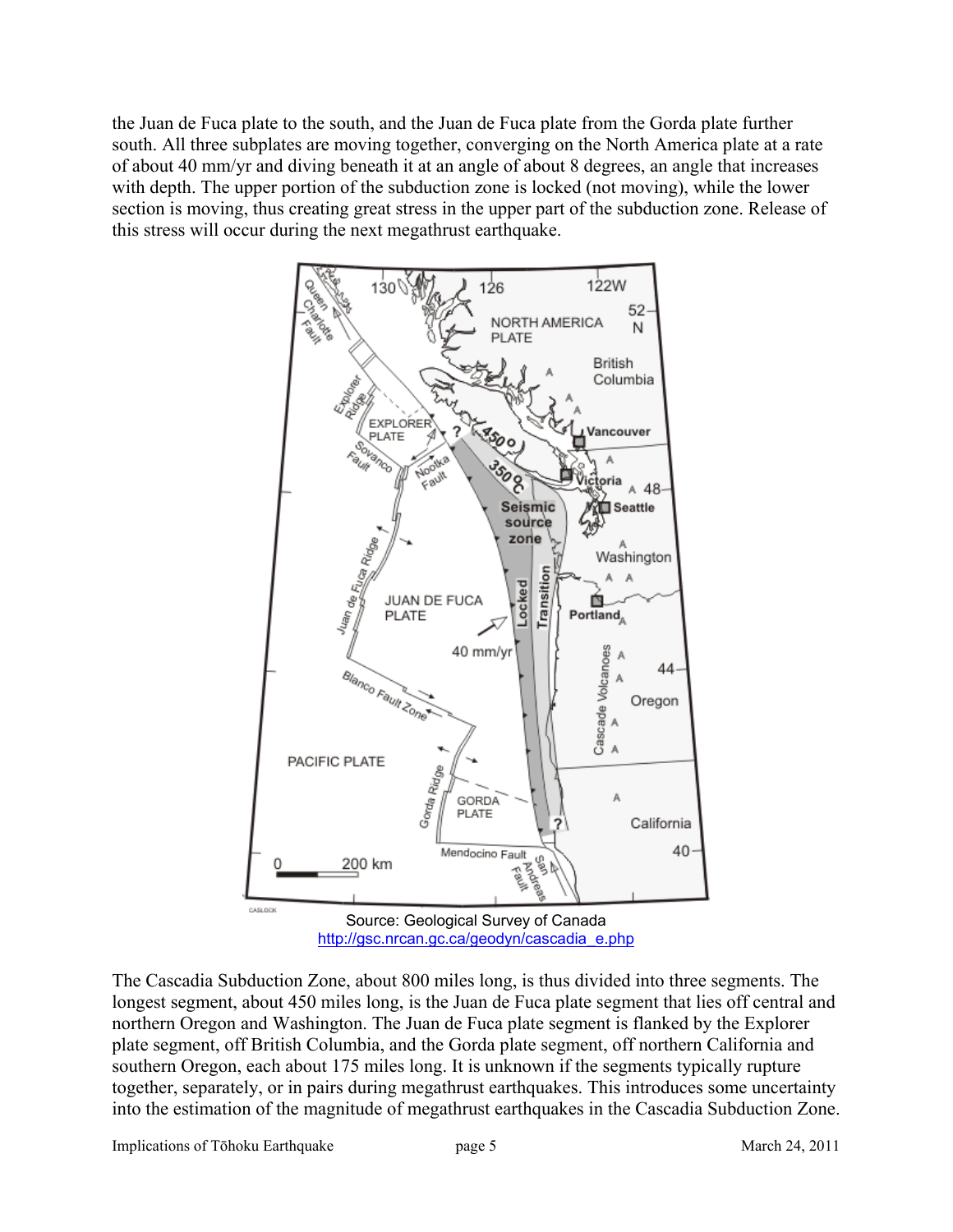the Juan de Fuca plate to the south, and the Juan de Fuca plate from the Gorda plate further south. All three subplates are moving together, converging on the North America plate at a rate of about 40 mm/yr and diving beneath it at an angle of about 8 degrees, an angle that increases with depth. The upper portion of the subduction zone is locked (not moving), while the lower section is moving, thus creating great stress in the upper part of the subduction zone. Release of this stress will occur during the next megathrust earthquake.



The Cascadia Subduction Zone, about 800 miles long, is thus divided into three segments. The longest segment, about 450 miles long, is the Juan de Fuca plate segment that lies off central and northern Oregon and Washington. The Juan de Fuca plate segment is flanked by the Explorer plate segment, off British Columbia, and the Gorda plate segment, off northern California and southern Oregon, each about 175 miles long. It is unknown if the segments typically rupture together, separately, or in pairs during megathrust earthquakes. This introduces some uncertainty into the estimation of the magnitude of megathrust earthquakes in the Cascadia Subduction Zone.

Implications of Tōhoku Earthquake page 5 March 24, 2011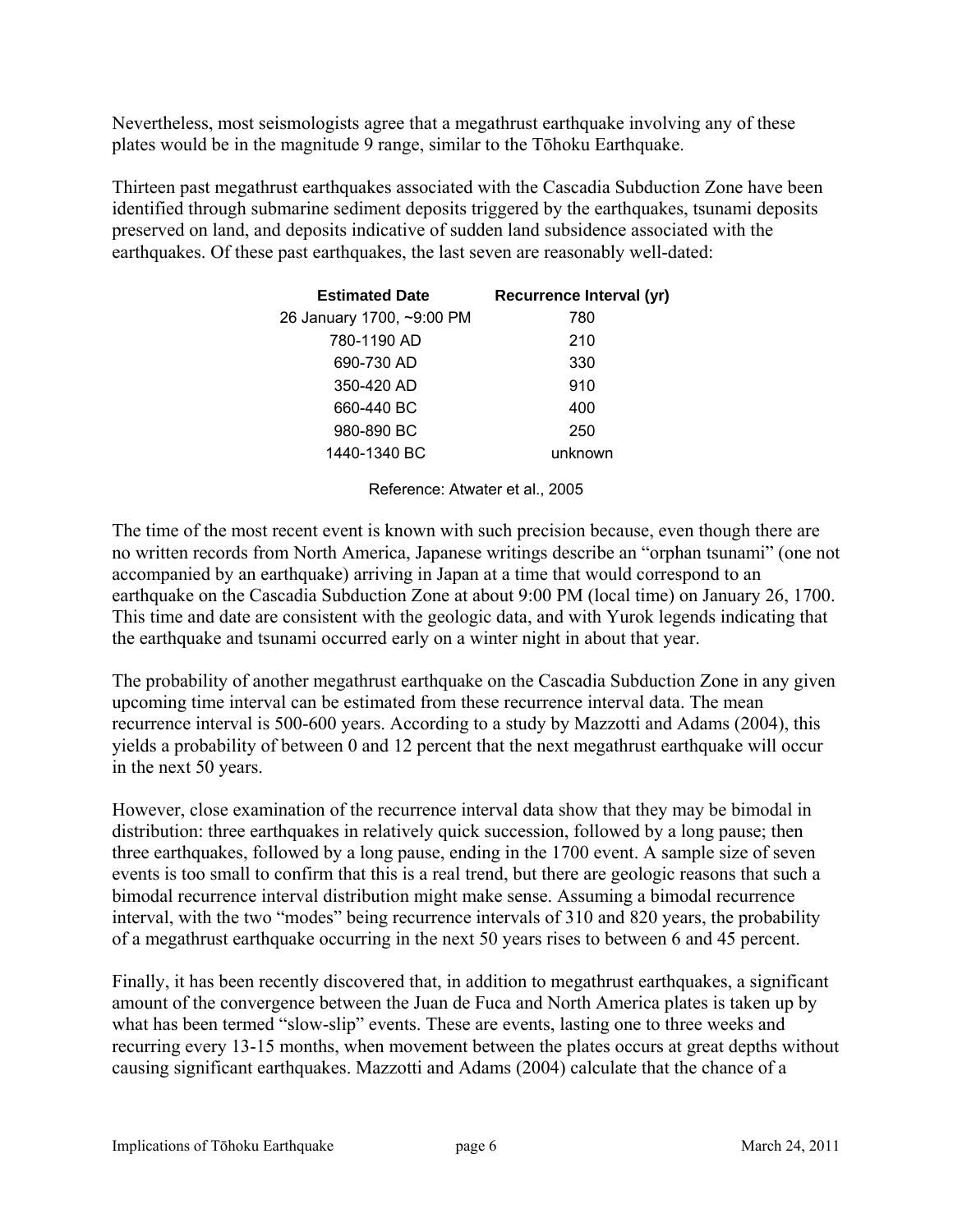Nevertheless, most seismologists agree that a megathrust earthquake involving any of these plates would be in the magnitude 9 range, similar to the Tōhoku Earthquake.

Thirteen past megathrust earthquakes associated with the Cascadia Subduction Zone have been identified through submarine sediment deposits triggered by the earthquakes, tsunami deposits preserved on land, and deposits indicative of sudden land subsidence associated with the earthquakes. Of these past earthquakes, the last seven are reasonably well-dated:

| <b>Estimated Date</b>     | Recurrence Interval (yr) |
|---------------------------|--------------------------|
| 26 January 1700, ~9:00 PM | 780                      |
| 780-1190 AD               | 210                      |
| 690-730 AD                | 330                      |
| 350-420 AD                | 910                      |
| 660-440 BC                | 400                      |
| 980-890 BC                | 250                      |
| 1440-1340 BC              | unknown                  |

Reference: Atwater et al., 2005

The time of the most recent event is known with such precision because, even though there are no written records from North America, Japanese writings describe an "orphan tsunami" (one not accompanied by an earthquake) arriving in Japan at a time that would correspond to an earthquake on the Cascadia Subduction Zone at about 9:00 PM (local time) on January 26, 1700. This time and date are consistent with the geologic data, and with Yurok legends indicating that the earthquake and tsunami occurred early on a winter night in about that year.

The probability of another megathrust earthquake on the Cascadia Subduction Zone in any given upcoming time interval can be estimated from these recurrence interval data. The mean recurrence interval is 500-600 years. According to a study by Mazzotti and Adams (2004), this yields a probability of between 0 and 12 percent that the next megathrust earthquake will occur in the next 50 years.

However, close examination of the recurrence interval data show that they may be bimodal in distribution: three earthquakes in relatively quick succession, followed by a long pause; then three earthquakes, followed by a long pause, ending in the 1700 event. A sample size of seven events is too small to confirm that this is a real trend, but there are geologic reasons that such a bimodal recurrence interval distribution might make sense. Assuming a bimodal recurrence interval, with the two "modes" being recurrence intervals of 310 and 820 years, the probability of a megathrust earthquake occurring in the next 50 years rises to between 6 and 45 percent.

Finally, it has been recently discovered that, in addition to megathrust earthquakes, a significant amount of the convergence between the Juan de Fuca and North America plates is taken up by what has been termed "slow-slip" events. These are events, lasting one to three weeks and recurring every 13-15 months, when movement between the plates occurs at great depths without causing significant earthquakes. Mazzotti and Adams (2004) calculate that the chance of a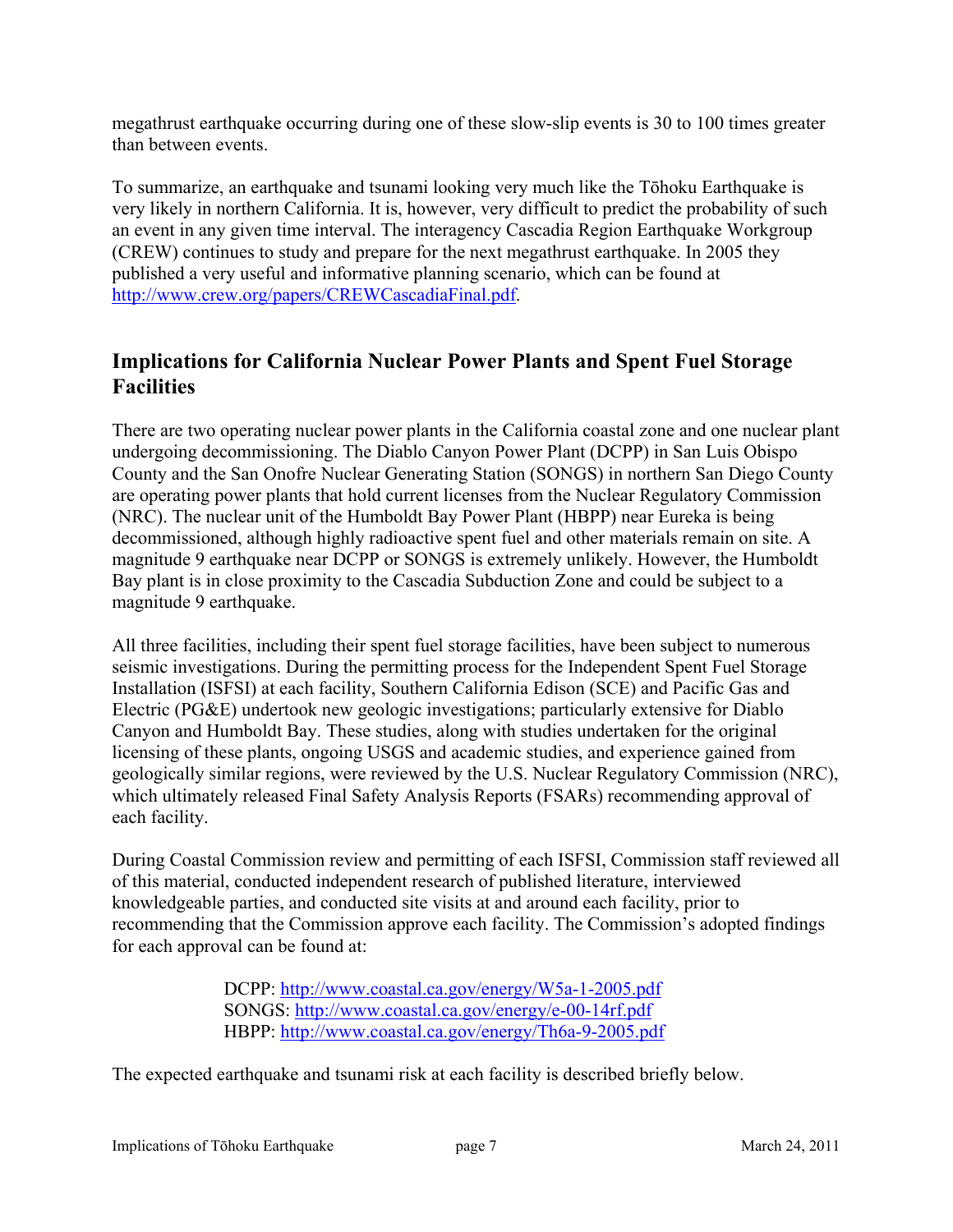megathrust earthquake occurring during one of these slow-slip events is 30 to 100 times greater than between events.

To summarize, an earthquake and tsunami looking very much like the Tōhoku Earthquake is very likely in northern California. It is, however, very difficult to predict the probability of such an event in any given time interval. The interagency Cascadia Region Earthquake Workgroup (CREW) continues to study and prepare for the next megathrust earthquake. In 2005 they published a very useful and informative planning scenario, which can be found at [http://www.crew.org/papers/CREWCascadiaFinal.pdf.](http://www.crew.org/papers/CREWCascadiaFinal.pdf)

# **Implications for California Nuclear Power Plants and Spent Fuel Storage Facilities**

There are two operating nuclear power plants in the California coastal zone and one nuclear plant undergoing decommissioning. The Diablo Canyon Power Plant (DCPP) in San Luis Obispo County and the San Onofre Nuclear Generating Station (SONGS) in northern San Diego County are operating power plants that hold current licenses from the Nuclear Regulatory Commission (NRC). The nuclear unit of the Humboldt Bay Power Plant (HBPP) near Eureka is being decommissioned, although highly radioactive spent fuel and other materials remain on site. A magnitude 9 earthquake near DCPP or SONGS is extremely unlikely. However, the Humboldt Bay plant is in close proximity to the Cascadia Subduction Zone and could be subject to a magnitude 9 earthquake.

All three facilities, including their spent fuel storage facilities, have been subject to numerous seismic investigations. During the permitting process for the Independent Spent Fuel Storage Installation (ISFSI) at each facility, Southern California Edison (SCE) and Pacific Gas and Electric (PG&E) undertook new geologic investigations; particularly extensive for Diablo Canyon and Humboldt Bay. These studies, along with studies undertaken for the original licensing of these plants, ongoing USGS and academic studies, and experience gained from geologically similar regions, were reviewed by the U.S. Nuclear Regulatory Commission (NRC), which ultimately released Final Safety Analysis Reports (FSARs) recommending approval of each facility.

During Coastal Commission review and permitting of each ISFSI, Commission staff reviewed all of this material, conducted independent research of published literature, interviewed knowledgeable parties, and conducted site visits at and around each facility, prior to recommending that the Commission approve each facility. The Commission's adopted findings for each approval can be found at:

> DCPP:<http://www.coastal.ca.gov/energy/W5a-1-2005.pdf> SONGS: <http://www.coastal.ca.gov/energy/e-00-14rf.pdf> HBPP:<http://www.coastal.ca.gov/energy/Th6a-9-2005.pdf>

The expected earthquake and tsunami risk at each facility is described briefly below.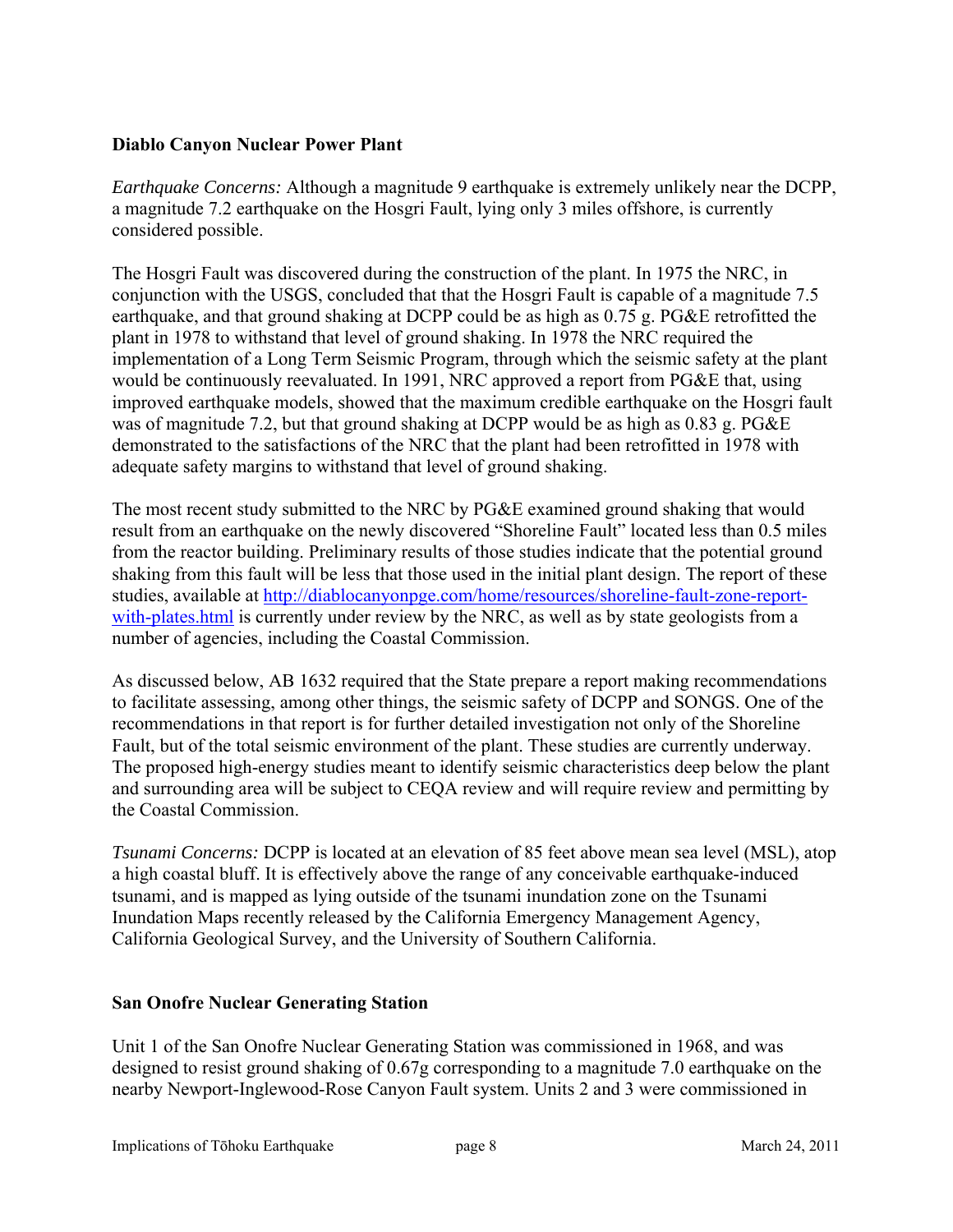### **Diablo Canyon Nuclear Power Plant**

*Earthquake Concerns:* Although a magnitude 9 earthquake is extremely unlikely near the DCPP, a magnitude 7.2 earthquake on the Hosgri Fault, lying only 3 miles offshore, is currently considered possible.

The Hosgri Fault was discovered during the construction of the plant. In 1975 the NRC, in conjunction with the USGS, concluded that that the Hosgri Fault is capable of a magnitude 7.5 earthquake, and that ground shaking at DCPP could be as high as 0.75 g. PG&E retrofitted the plant in 1978 to withstand that level of ground shaking. In 1978 the NRC required the implementation of a Long Term Seismic Program, through which the seismic safety at the plant would be continuously reevaluated. In 1991, NRC approved a report from PG&E that, using improved earthquake models, showed that the maximum credible earthquake on the Hosgri fault was of magnitude 7.2, but that ground shaking at DCPP would be as high as 0.83 g. PG&E demonstrated to the satisfactions of the NRC that the plant had been retrofitted in 1978 with adequate safety margins to withstand that level of ground shaking.

The most recent study submitted to the NRC by PG&E examined ground shaking that would result from an earthquake on the newly discovered "Shoreline Fault" located less than 0.5 miles from the reactor building. Preliminary results of those studies indicate that the potential ground shaking from this fault will be less that those used in the initial plant design. The report of these studies, available at [http://diablocanyonpge.com/home/resources/shoreline-fault-zone-report](http://diablocanyonpge.com/home/resources/shoreline-fault-zone-report-with-plates.html)[with-plates.html](http://diablocanyonpge.com/home/resources/shoreline-fault-zone-report-with-plates.html) is currently under review by the NRC, as well as by state geologists from a number of agencies, including the Coastal Commission.

As discussed below, AB 1632 required that the State prepare a report making recommendations to facilitate assessing, among other things, the seismic safety of DCPP and SONGS. One of the recommendations in that report is for further detailed investigation not only of the Shoreline Fault, but of the total seismic environment of the plant. These studies are currently underway. The proposed high-energy studies meant to identify seismic characteristics deep below the plant and surrounding area will be subject to CEQA review and will require review and permitting by the Coastal Commission.

*Tsunami Concerns:* DCPP is located at an elevation of 85 feet above mean sea level (MSL), atop a high coastal bluff. It is effectively above the range of any conceivable earthquake-induced tsunami, and is mapped as lying outside of the tsunami inundation zone on the Tsunami Inundation Maps recently released by the California Emergency Management Agency, California Geological Survey, and the University of Southern California.

### **San Onofre Nuclear Generating Station**

Unit 1 of the San Onofre Nuclear Generating Station was commissioned in 1968, and was designed to resist ground shaking of 0.67g corresponding to a magnitude 7.0 earthquake on the nearby Newport-Inglewood-Rose Canyon Fault system. Units 2 and 3 were commissioned in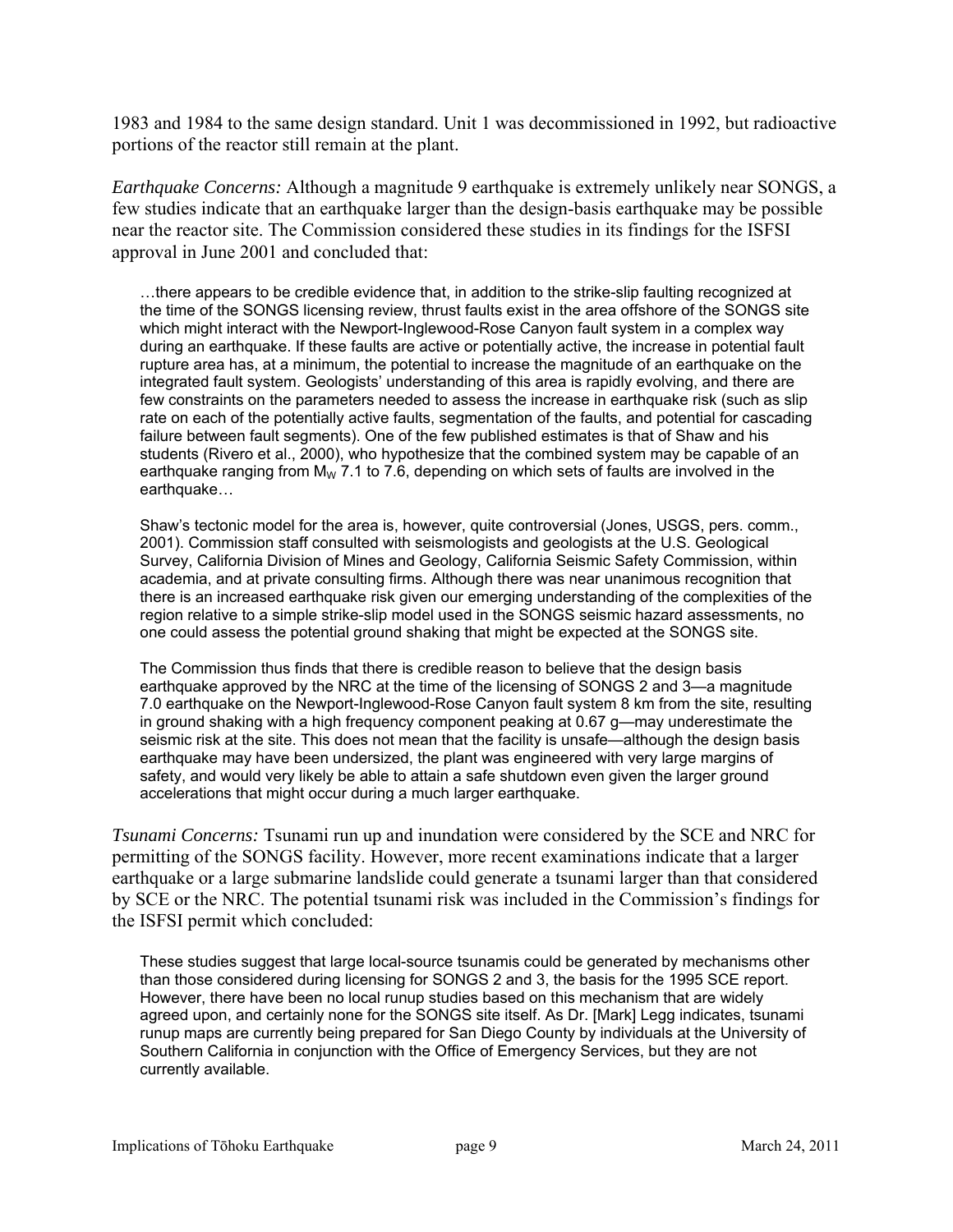1983 and 1984 to the same design standard. Unit 1 was decommissioned in 1992, but radioactive portions of the reactor still remain at the plant.

*Earthquake Concerns:* Although a magnitude 9 earthquake is extremely unlikely near SONGS, a few studies indicate that an earthquake larger than the design-basis earthquake may be possible near the reactor site. The Commission considered these studies in its findings for the ISFSI approval in June 2001 and concluded that:

…there appears to be credible evidence that, in addition to the strike-slip faulting recognized at the time of the SONGS licensing review, thrust faults exist in the area offshore of the SONGS site which might interact with the Newport-Inglewood-Rose Canyon fault system in a complex way during an earthquake. If these faults are active or potentially active, the increase in potential fault rupture area has, at a minimum, the potential to increase the magnitude of an earthquake on the integrated fault system. Geologists' understanding of this area is rapidly evolving, and there are few constraints on the parameters needed to assess the increase in earthquake risk (such as slip rate on each of the potentially active faults, segmentation of the faults, and potential for cascading failure between fault segments). One of the few published estimates is that of Shaw and his students (Rivero et al., 2000), who hypothesize that the combined system may be capable of an earthquake ranging from  $M_W$  7.1 to 7.6, depending on which sets of faults are involved in the earthquake…

Shaw's tectonic model for the area is, however, quite controversial (Jones, USGS, pers. comm., 2001). Commission staff consulted with seismologists and geologists at the U.S. Geological Survey, California Division of Mines and Geology, California Seismic Safety Commission, within academia, and at private consulting firms. Although there was near unanimous recognition that there is an increased earthquake risk given our emerging understanding of the complexities of the region relative to a simple strike-slip model used in the SONGS seismic hazard assessments, no one could assess the potential ground shaking that might be expected at the SONGS site.

The Commission thus finds that there is credible reason to believe that the design basis earthquake approved by the NRC at the time of the licensing of SONGS 2 and 3—a magnitude 7.0 earthquake on the Newport-Inglewood-Rose Canyon fault system 8 km from the site, resulting in ground shaking with a high frequency component peaking at 0.67 g—may underestimate the seismic risk at the site. This does not mean that the facility is unsafe—although the design basis earthquake may have been undersized, the plant was engineered with very large margins of safety, and would very likely be able to attain a safe shutdown even given the larger ground accelerations that might occur during a much larger earthquake.

*Tsunami Concerns:* Tsunami run up and inundation were considered by the SCE and NRC for permitting of the SONGS facility. However, more recent examinations indicate that a larger earthquake or a large submarine landslide could generate a tsunami larger than that considered by SCE or the NRC. The potential tsunami risk was included in the Commission's findings for the ISFSI permit which concluded:

These studies suggest that large local-source tsunamis could be generated by mechanisms other than those considered during licensing for SONGS 2 and 3, the basis for the 1995 SCE report. However, there have been no local runup studies based on this mechanism that are widely agreed upon, and certainly none for the SONGS site itself. As Dr. [Mark] Legg indicates, tsunami runup maps are currently being prepared for San Diego County by individuals at the University of Southern California in conjunction with the Office of Emergency Services, but they are not currently available.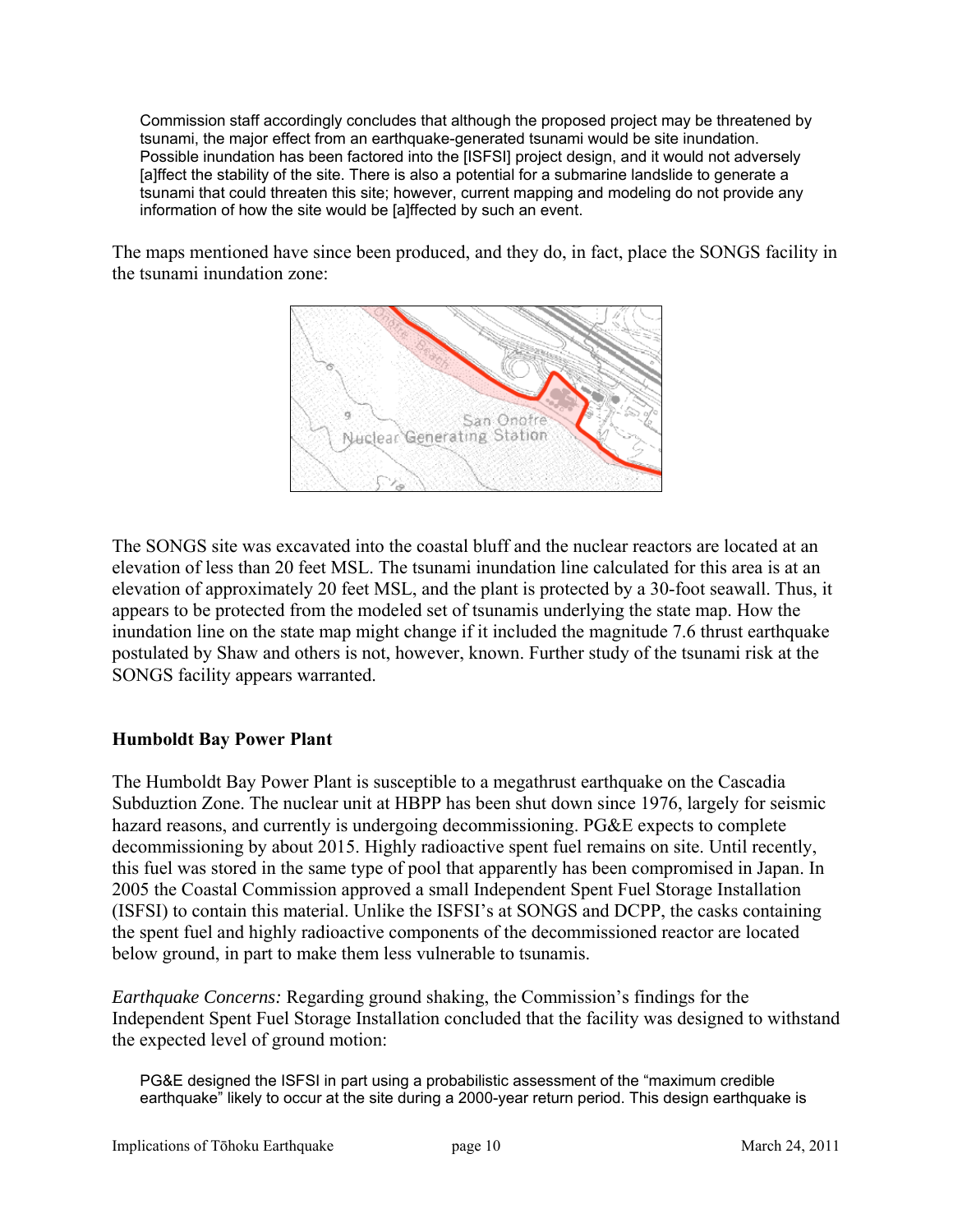Commission staff accordingly concludes that although the proposed project may be threatened by tsunami, the major effect from an earthquake-generated tsunami would be site inundation. Possible inundation has been factored into the [ISFSI] project design, and it would not adversely [a]ffect the stability of the site. There is also a potential for a submarine landslide to generate a tsunami that could threaten this site; however, current mapping and modeling do not provide any information of how the site would be [a]ffected by such an event.

The maps mentioned have since been produced, and they do, in fact, place the SONGS facility in the tsunami inundation zone:



The SONGS site was excavated into the coastal bluff and the nuclear reactors are located at an elevation of less than 20 feet MSL. The tsunami inundation line calculated for this area is at an elevation of approximately 20 feet MSL, and the plant is protected by a 30-foot seawall. Thus, it appears to be protected from the modeled set of tsunamis underlying the state map. How the inundation line on the state map might change if it included the magnitude 7.6 thrust earthquake postulated by Shaw and others is not, however, known. Further study of the tsunami risk at the SONGS facility appears warranted.

### **Humboldt Bay Power Plant**

The Humboldt Bay Power Plant is susceptible to a megathrust earthquake on the Cascadia Subduztion Zone. The nuclear unit at HBPP has been shut down since 1976, largely for seismic hazard reasons, and currently is undergoing decommissioning. PG&E expects to complete decommissioning by about 2015. Highly radioactive spent fuel remains on site. Until recently, this fuel was stored in the same type of pool that apparently has been compromised in Japan. In 2005 the Coastal Commission approved a small Independent Spent Fuel Storage Installation (ISFSI) to contain this material. Unlike the ISFSI's at SONGS and DCPP, the casks containing the spent fuel and highly radioactive components of the decommissioned reactor are located below ground, in part to make them less vulnerable to tsunamis.

*Earthquake Concerns:* Regarding ground shaking, the Commission's findings for the Independent Spent Fuel Storage Installation concluded that the facility was designed to withstand the expected level of ground motion:

PG&E designed the ISFSI in part using a probabilistic assessment of the "maximum credible earthquake" likely to occur at the site during a 2000-year return period. This design earthquake is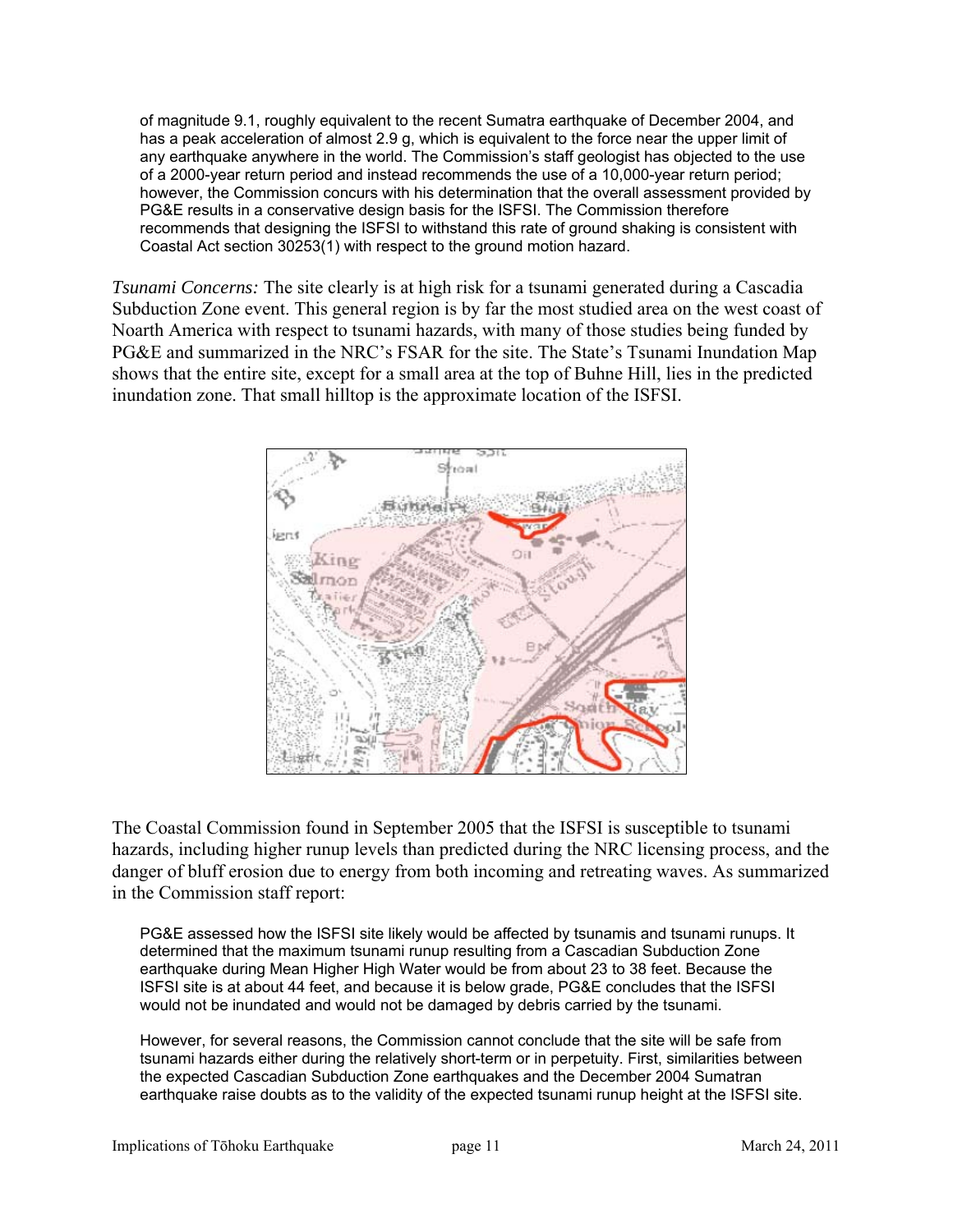of magnitude 9.1, roughly equivalent to the recent Sumatra earthquake of December 2004, and has a peak acceleration of almost 2.9 g, which is equivalent to the force near the upper limit of any earthquake anywhere in the world. The Commission's staff geologist has objected to the use of a 2000-year return period and instead recommends the use of a 10,000-year return period; however, the Commission concurs with his determination that the overall assessment provided by PG&E results in a conservative design basis for the ISFSI. The Commission therefore recommends that designing the ISFSI to withstand this rate of ground shaking is consistent with Coastal Act section 30253(1) with respect to the ground motion hazard.

*Tsunami Concerns:* The site clearly is at high risk for a tsunami generated during a Cascadia Subduction Zone event. This general region is by far the most studied area on the west coast of Noarth America with respect to tsunami hazards, with many of those studies being funded by PG&E and summarized in the NRC's FSAR for the site. The State's Tsunami Inundation Map shows that the entire site, except for a small area at the top of Buhne Hill, lies in the predicted inundation zone. That small hilltop is the approximate location of the ISFSI.



The Coastal Commission found in September 2005 that the ISFSI is susceptible to tsunami hazards, including higher runup levels than predicted during the NRC licensing process, and the danger of bluff erosion due to energy from both incoming and retreating waves. As summarized in the Commission staff report:

PG&E assessed how the ISFSI site likely would be affected by tsunamis and tsunami runups. It determined that the maximum tsunami runup resulting from a Cascadian Subduction Zone earthquake during Mean Higher High Water would be from about 23 to 38 feet. Because the ISFSI site is at about 44 feet, and because it is below grade, PG&E concludes that the ISFSI would not be inundated and would not be damaged by debris carried by the tsunami.

However, for several reasons, the Commission cannot conclude that the site will be safe from tsunami hazards either during the relatively short-term or in perpetuity. First, similarities between the expected Cascadian Subduction Zone earthquakes and the December 2004 Sumatran earthquake raise doubts as to the validity of the expected tsunami runup height at the ISFSI site.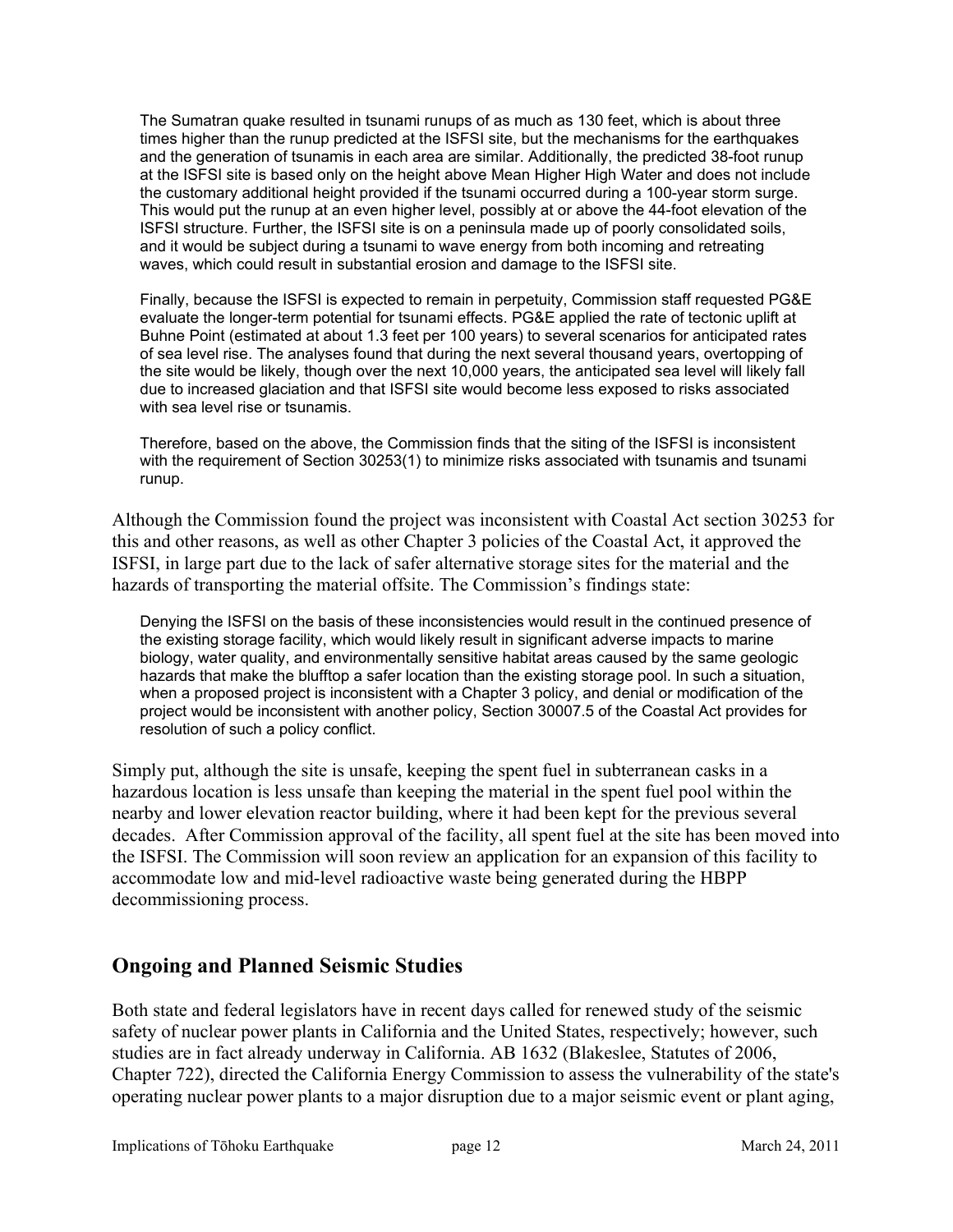The Sumatran quake resulted in tsunami runups of as much as 130 feet, which is about three times higher than the runup predicted at the ISFSI site, but the mechanisms for the earthquakes and the generation of tsunamis in each area are similar. Additionally, the predicted 38-foot runup at the ISFSI site is based only on the height above Mean Higher High Water and does not include the customary additional height provided if the tsunami occurred during a 100-year storm surge. This would put the runup at an even higher level, possibly at or above the 44-foot elevation of the ISFSI structure. Further, the ISFSI site is on a peninsula made up of poorly consolidated soils, and it would be subject during a tsunami to wave energy from both incoming and retreating waves, which could result in substantial erosion and damage to the ISFSI site.

Finally, because the ISFSI is expected to remain in perpetuity, Commission staff requested PG&E evaluate the longer-term potential for tsunami effects. PG&E applied the rate of tectonic uplift at Buhne Point (estimated at about 1.3 feet per 100 years) to several scenarios for anticipated rates of sea level rise. The analyses found that during the next several thousand years, overtopping of the site would be likely, though over the next 10,000 years, the anticipated sea level will likely fall due to increased glaciation and that ISFSI site would become less exposed to risks associated with sea level rise or tsunamis.

Therefore, based on the above, the Commission finds that the siting of the ISFSI is inconsistent with the requirement of Section 30253(1) to minimize risks associated with tsunamis and tsunami runup.

Although the Commission found the project was inconsistent with Coastal Act section 30253 for this and other reasons, as well as other Chapter 3 policies of the Coastal Act, it approved the ISFSI, in large part due to the lack of safer alternative storage sites for the material and the hazards of transporting the material offsite. The Commission's findings state:

Denying the ISFSI on the basis of these inconsistencies would result in the continued presence of the existing storage facility, which would likely result in significant adverse impacts to marine biology, water quality, and environmentally sensitive habitat areas caused by the same geologic hazards that make the blufftop a safer location than the existing storage pool. In such a situation, when a proposed project is inconsistent with a Chapter 3 policy, and denial or modification of the project would be inconsistent with another policy, Section 30007.5 of the Coastal Act provides for resolution of such a policy conflict.

Simply put, although the site is unsafe, keeping the spent fuel in subterranean casks in a hazardous location is less unsafe than keeping the material in the spent fuel pool within the nearby and lower elevation reactor building, where it had been kept for the previous several decades. After Commission approval of the facility, all spent fuel at the site has been moved into the ISFSI. The Commission will soon review an application for an expansion of this facility to accommodate low and mid-level radioactive waste being generated during the HBPP decommissioning process.

## **Ongoing and Planned Seismic Studies**

Both state and federal legislators have in recent days called for renewed study of the seismic safety of nuclear power plants in California and the United States, respectively; however, such studies are in fact already underway in California. AB 1632 (Blakeslee, Statutes of 2006, Chapter 722), directed the California Energy Commission to assess the vulnerability of the state's operating nuclear power plants to a major disruption due to a major seismic event or plant aging,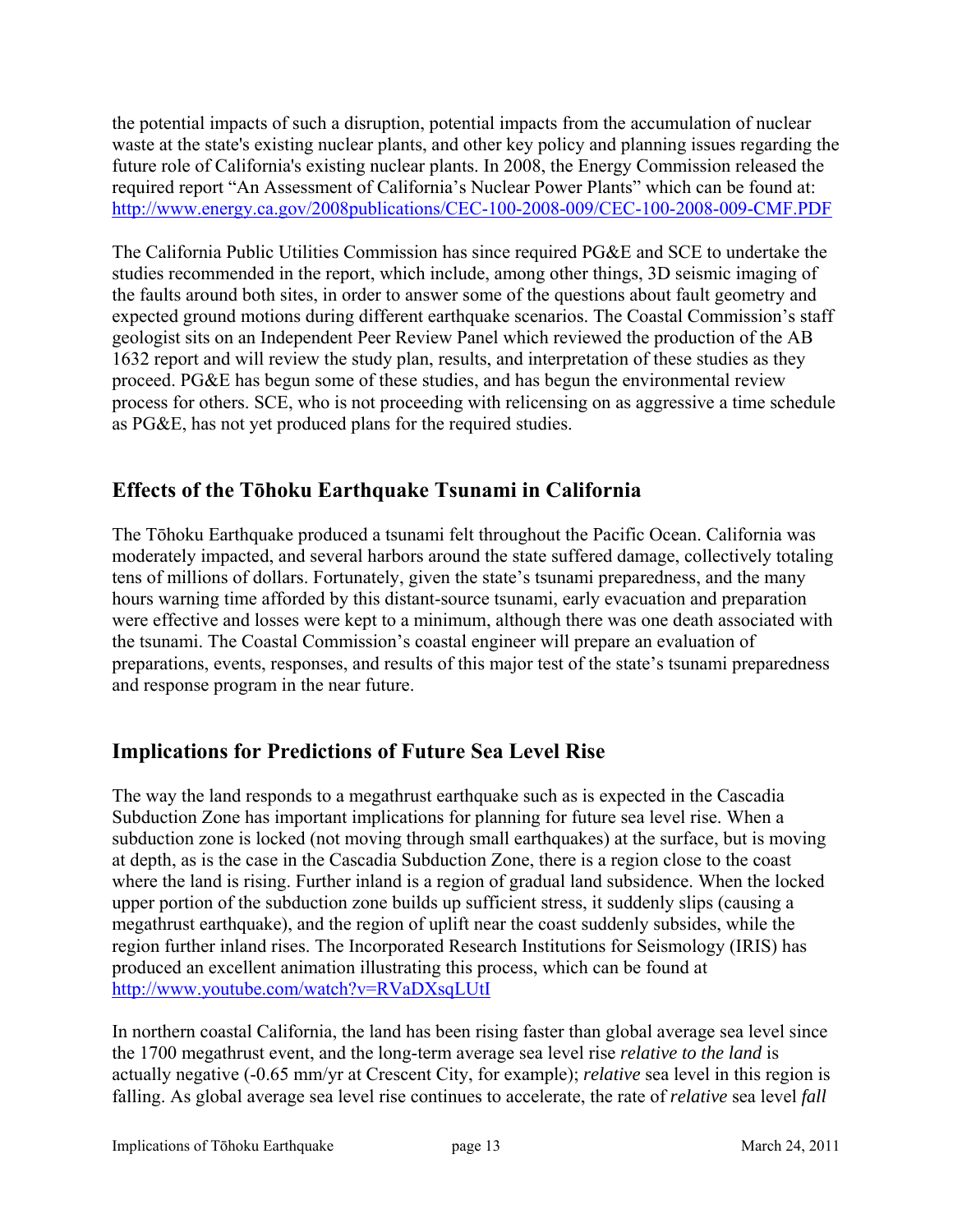the potential impacts of such a disruption, potential impacts from the accumulation of nuclear waste at the state's existing nuclear plants, and other key policy and planning issues regarding the future role of California's existing nuclear plants. In 2008, the Energy Commission released the required report "An Assessment of California's Nuclear Power Plants" which can be found at: <http://www.energy.ca.gov/2008publications/CEC-100-2008-009/CEC-100-2008-009-CMF.PDF>

The California Public Utilities Commission has since required PG&E and SCE to undertake the studies recommended in the report, which include, among other things, 3D seismic imaging of the faults around both sites, in order to answer some of the questions about fault geometry and expected ground motions during different earthquake scenarios. The Coastal Commission's staff geologist sits on an Independent Peer Review Panel which reviewed the production of the AB 1632 report and will review the study plan, results, and interpretation of these studies as they proceed. PG&E has begun some of these studies, and has begun the environmental review process for others. SCE, who is not proceeding with relicensing on as aggressive a time schedule as PG&E, has not yet produced plans for the required studies.

# **Effects of the Tōhoku Earthquake Tsunami in California**

The Tōhoku Earthquake produced a tsunami felt throughout the Pacific Ocean. California was moderately impacted, and several harbors around the state suffered damage, collectively totaling tens of millions of dollars. Fortunately, given the state's tsunami preparedness, and the many hours warning time afforded by this distant-source tsunami, early evacuation and preparation were effective and losses were kept to a minimum, although there was one death associated with the tsunami. The Coastal Commission's coastal engineer will prepare an evaluation of preparations, events, responses, and results of this major test of the state's tsunami preparedness and response program in the near future.

# **Implications for Predictions of Future Sea Level Rise**

The way the land responds to a megathrust earthquake such as is expected in the Cascadia Subduction Zone has important implications for planning for future sea level rise. When a subduction zone is locked (not moving through small earthquakes) at the surface, but is moving at depth, as is the case in the Cascadia Subduction Zone, there is a region close to the coast where the land is rising. Further inland is a region of gradual land subsidence. When the locked upper portion of the subduction zone builds up sufficient stress, it suddenly slips (causing a megathrust earthquake), and the region of uplift near the coast suddenly subsides, while the region further inland rises. The Incorporated Research Institutions for Seismology (IRIS) has produced an excellent animation illustrating this process, which can be found at <http://www.youtube.com/watch?v=RVaDXsqLUtI>

In northern coastal California, the land has been rising faster than global average sea level since the 1700 megathrust event, and the long-term average sea level rise *relative to the land* is actually negative (-0.65 mm/yr at Crescent City, for example); *relative* sea level in this region is falling. As global average sea level rise continues to accelerate, the rate of *relative* sea level *fall*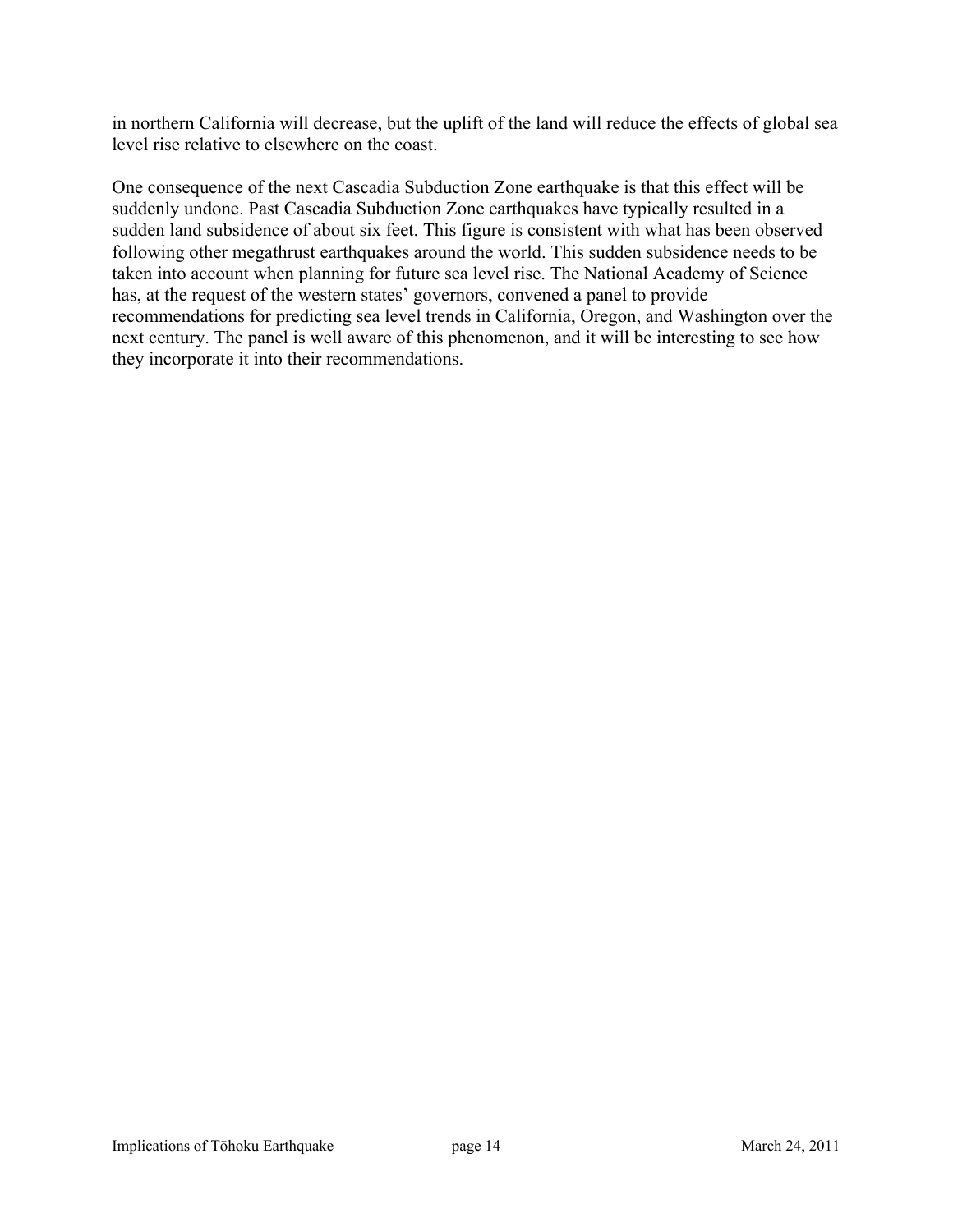in northern California will decrease, but the uplift of the land will reduce the effects of global sea level rise relative to elsewhere on the coast.

One consequence of the next Cascadia Subduction Zone earthquake is that this effect will be suddenly undone. Past Cascadia Subduction Zone earthquakes have typically resulted in a sudden land subsidence of about six feet. This figure is consistent with what has been observed following other megathrust earthquakes around the world. This sudden subsidence needs to be taken into account when planning for future sea level rise. The National Academy of Science has, at the request of the western states' governors, convened a panel to provide recommendations for predicting sea level trends in California, Oregon, and Washington over the next century. The panel is well aware of this phenomenon, and it will be interesting to see how they incorporate it into their recommendations.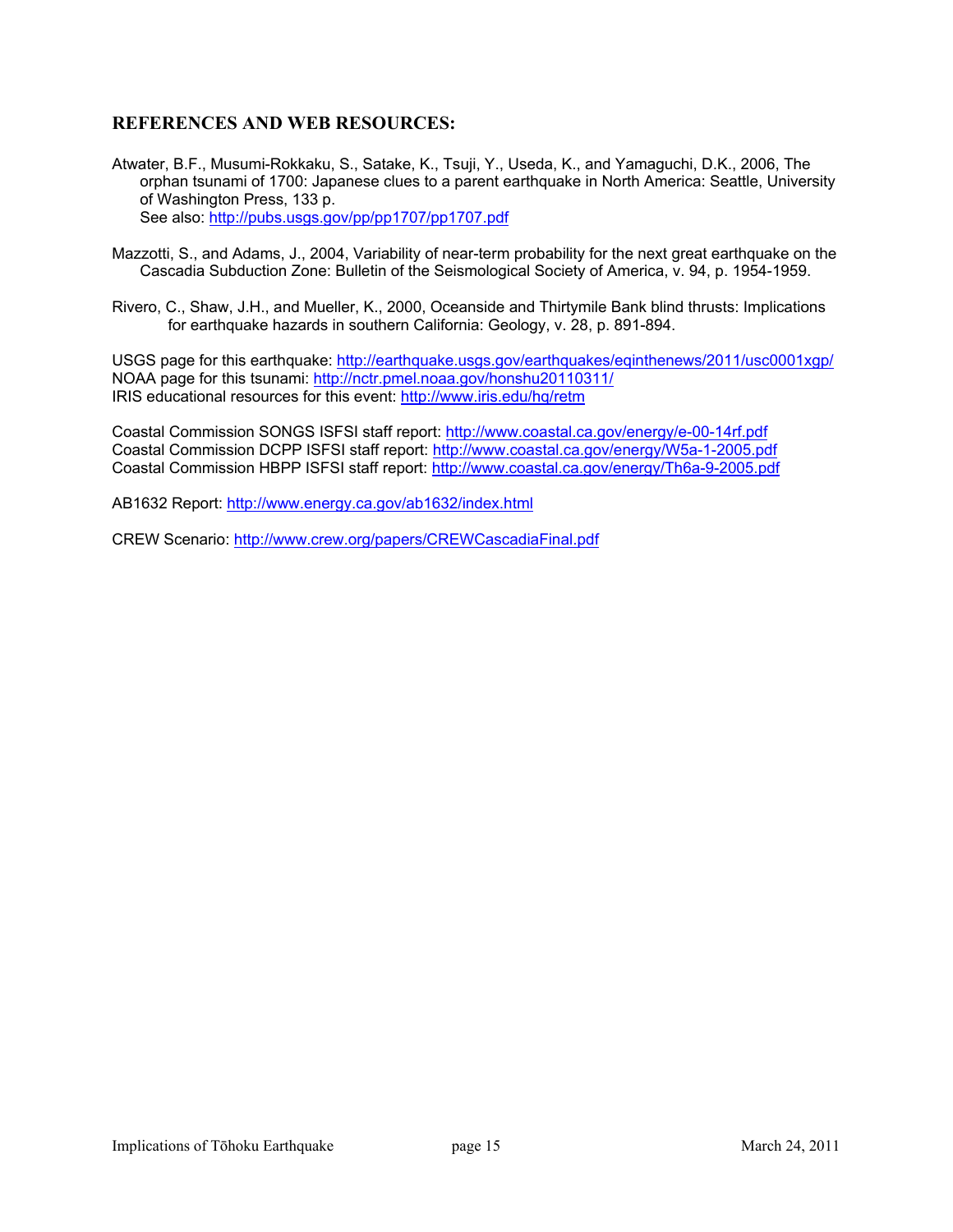### **REFERENCES AND WEB RESOURCES:**

- Atwater, B.F., Musumi-Rokkaku, S., Satake, K., Tsuji, Y., Useda, K., and Yamaguchi, D.K., 2006, The orphan tsunami of 1700: Japanese clues to a parent earthquake in North America: Seattle, University of Washington Press, 133 p. See also:<http://pubs.usgs.gov/pp/pp1707/pp1707.pdf>
- Mazzotti, S., and Adams, J., 2004, Variability of near-term probability for the next great earthquake on the Cascadia Subduction Zone: Bulletin of the Seismological Society of America, v. 94, p. 1954-1959.
- Rivero, C., Shaw, J.H., and Mueller, K., 2000, Oceanside and Thirtymile Bank blind thrusts: Implications for earthquake hazards in southern California: Geology, v. 28, p. 891-894.

USGS page for this earthquake: <http://earthquake.usgs.gov/earthquakes/eqinthenews/2011/usc0001xgp/> NOAA page for this tsunami:<http://nctr.pmel.noaa.gov/honshu20110311/> IRIS educational resources for this event: <http://www.iris.edu/hq/retm>

Coastal Commission SONGS ISFSI staff report:<http://www.coastal.ca.gov/energy/e-00-14rf.pdf> Coastal Commission DCPP ISFSI staff report:<http://www.coastal.ca.gov/energy/W5a-1-2005.pdf> Coastal Commission HBPP ISFSI staff report: <http://www.coastal.ca.gov/energy/Th6a-9-2005.pdf>

AB1632 Report: <http://www.energy.ca.gov/ab1632/index.html>

CREW Scenario:<http://www.crew.org/papers/CREWCascadiaFinal.pdf>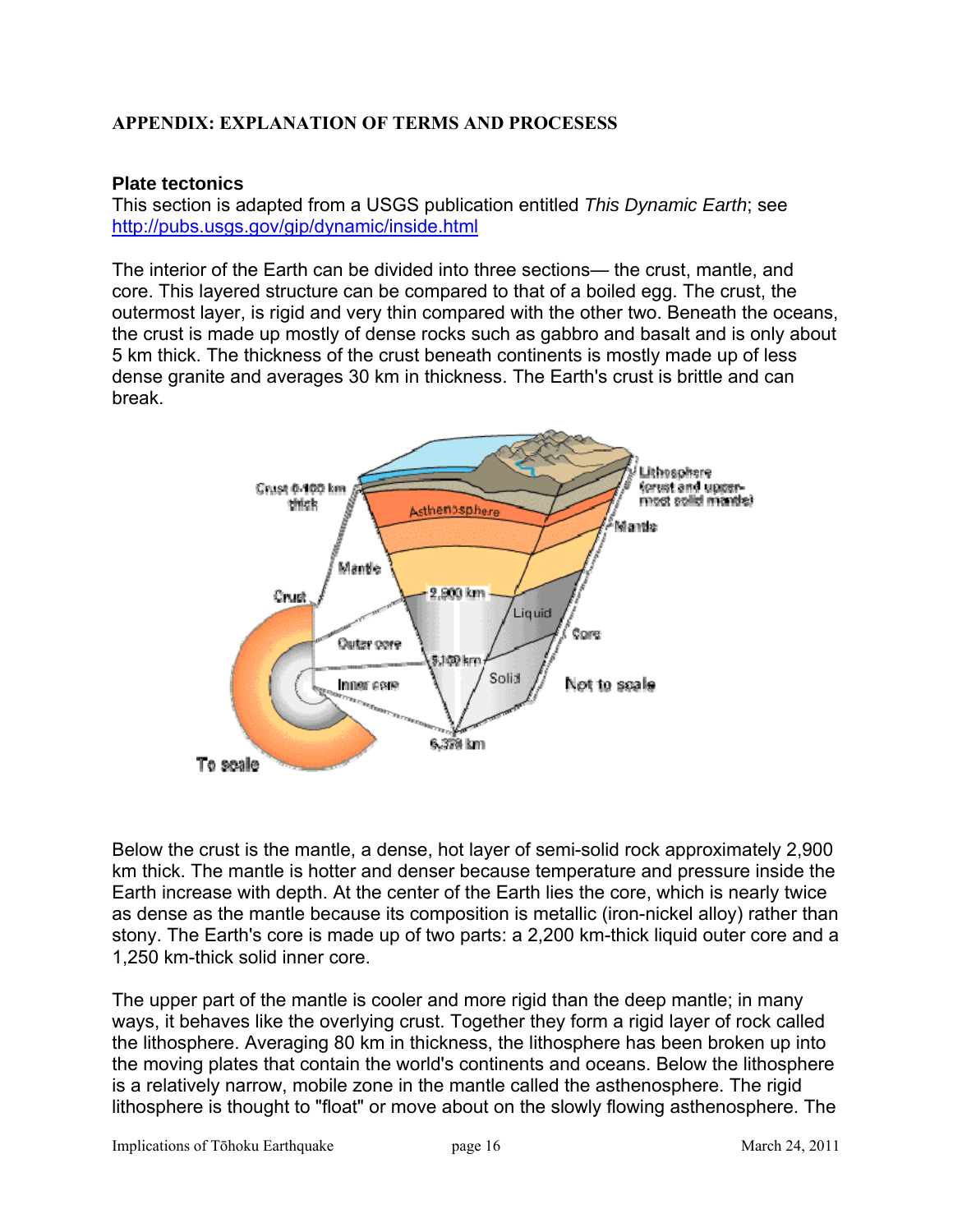### **APPENDIX: EXPLANATION OF TERMS AND PROCESESS**

### **Plate tectonics**

This section is adapted from a USGS publication entitled *This Dynamic Earth*; see <http://pubs.usgs.gov/gip/dynamic/inside.html>

The interior of the Earth can be divided into three sections— the crust, mantle, and core. This layered structure can be compared to that of a boiled egg. The crust, the outermost layer, is rigid and very thin compared with the other two. Beneath the oceans, the crust is made up mostly of dense rocks such as gabbro and basalt and is only about 5 km thick. The thickness of the crust beneath continents is mostly made up of less dense granite and averages 30 km in thickness. The Earth's crust is brittle and can break.



Below the crust is the mantle, a dense, hot layer of semi-solid rock approximately 2,900 km thick. The mantle is hotter and denser because temperature and pressure inside the Earth increase with depth. At the center of the Earth lies the core, which is nearly twice as dense as the mantle because its composition is metallic (iron-nickel alloy) rather than stony. The Earth's core is made up of two parts: a 2,200 km-thick liquid outer core and a 1,250 km-thick solid inner core.

The upper part of the mantle is cooler and more rigid than the deep mantle; in many ways, it behaves like the overlying crust. Together they form a rigid layer of rock called the lithosphere. Averaging 80 km in thickness, the lithosphere has been broken up into the moving plates that contain the world's continents and oceans. Below the lithosphere is a relatively narrow, mobile zone in the mantle called the asthenosphere. The rigid lithosphere is thought to "float" or move about on the slowly flowing asthenosphere. The

Implications of Tōhoku Earthquake page 16 March 24, 2011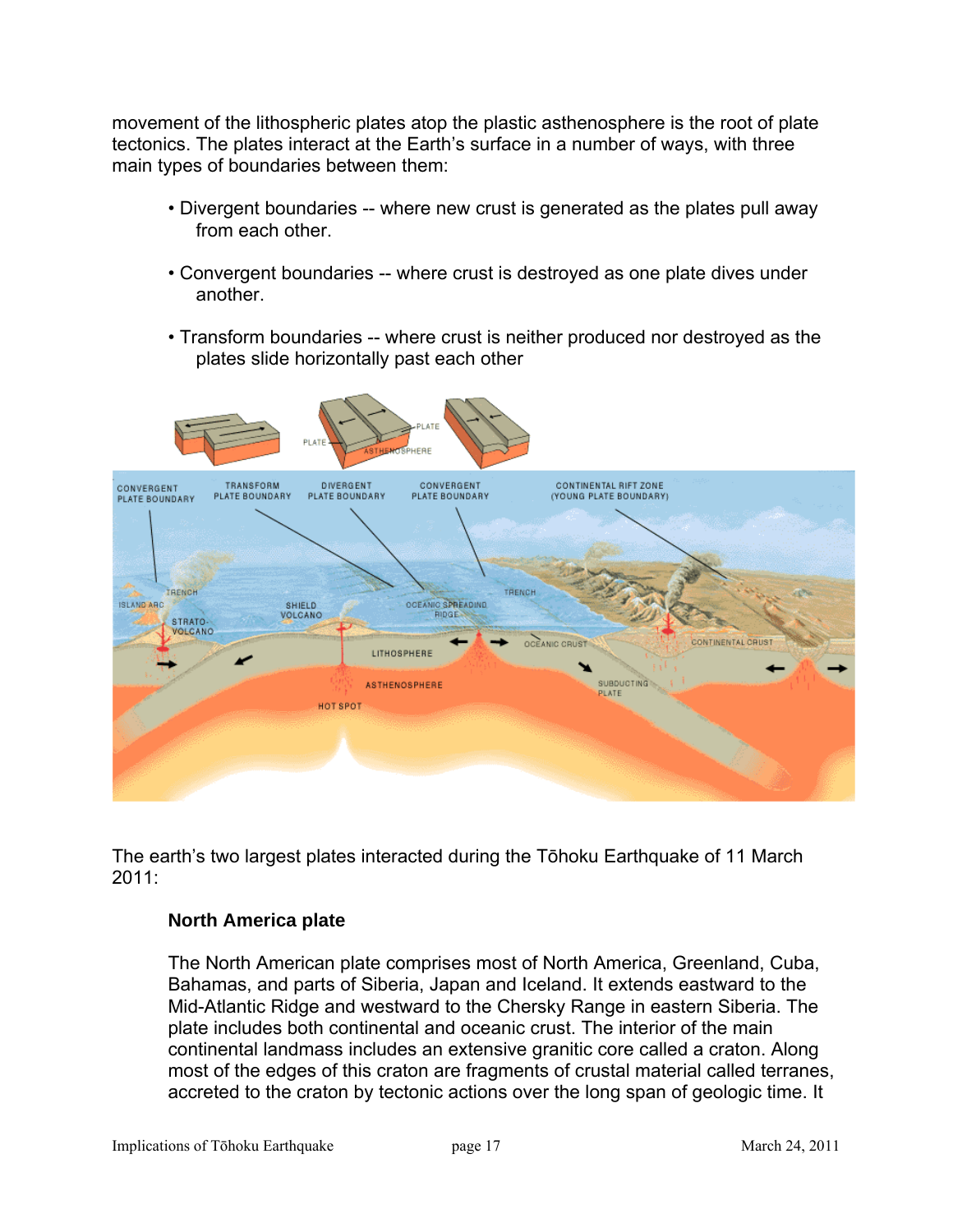movement of the lithospheric plates atop the plastic asthenosphere is the root of plate tectonics. The plates interact at the Earth's surface in a number of ways, with three main types of boundaries between them:

- Divergent boundaries -- where new crust is generated as the plates pull away from each other.
- Convergent boundaries -- where crust is destroyed as one plate dives under another.
- Transform boundaries -- where crust is neither produced nor destroyed as the plates slide horizontally past each other



The earth's two largest plates interacted during the Tōhoku Earthquake of 11 March 2011:

### **North America plate**

The North American plate comprises most of North America, Greenland, Cuba, Bahamas, and parts of Siberia, Japan and Iceland. It extends eastward to the Mid-Atlantic Ridge and westward to the Chersky Range in eastern Siberia. The plate includes both continental and oceanic crust. The interior of the main continental landmass includes an extensive granitic core called a craton. Along most of the edges of this craton are fragments of crustal material called terranes, accreted to the craton by tectonic actions over the long span of geologic time. It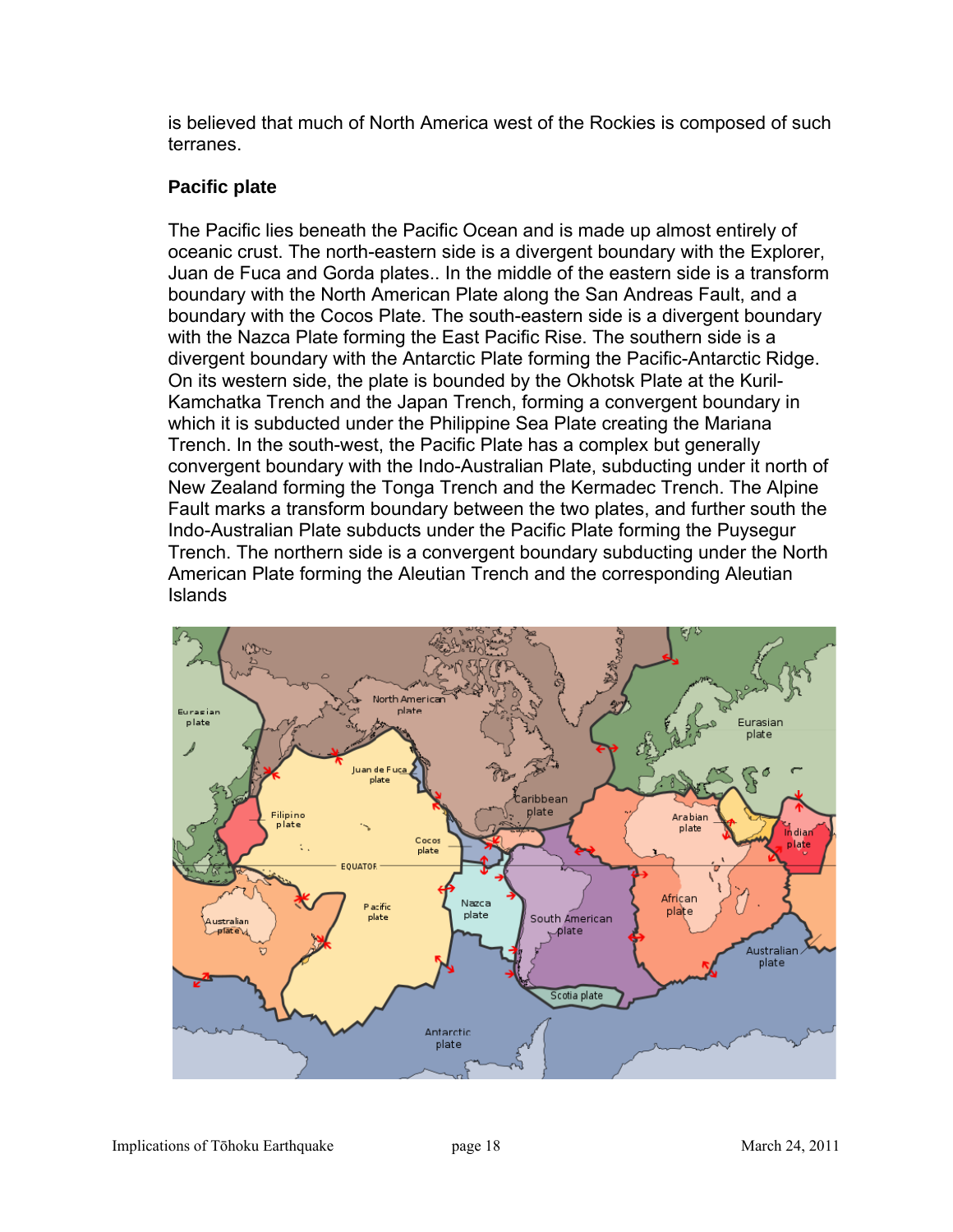is believed that much of North America west of the Rockies is composed of such terranes.

## **Pacific plate**

The Pacific lies beneath the Pacific Ocean and is made up almost entirely of oceanic crust. The north-eastern side is a divergent boundary with the Explorer, Juan de Fuca and Gorda plates.. In the middle of the eastern side is a transform boundary with the North American Plate along the San Andreas Fault, and a boundary with the Cocos Plate. The south-eastern side is a divergent boundary with the Nazca Plate forming the East Pacific Rise. The southern side is a divergent boundary with the Antarctic Plate forming the Pacific-Antarctic Ridge. On its western side, the plate is bounded by the Okhotsk Plate at the Kuril-Kamchatka Trench and the Japan Trench, forming a convergent boundary in which it is subducted under the Philippine Sea Plate creating the Mariana Trench. In the south-west, the Pacific Plate has a complex but generally convergent boundary with the Indo-Australian Plate, subducting under it north of New Zealand forming the Tonga Trench and the Kermadec Trench. The Alpine Fault marks a transform boundary between the two plates, and further south the Indo-Australian Plate subducts under the Pacific Plate forming the Puysegur Trench. The northern side is a convergent boundary subducting under the North American Plate forming the Aleutian Trench and the corresponding Aleutian Islands

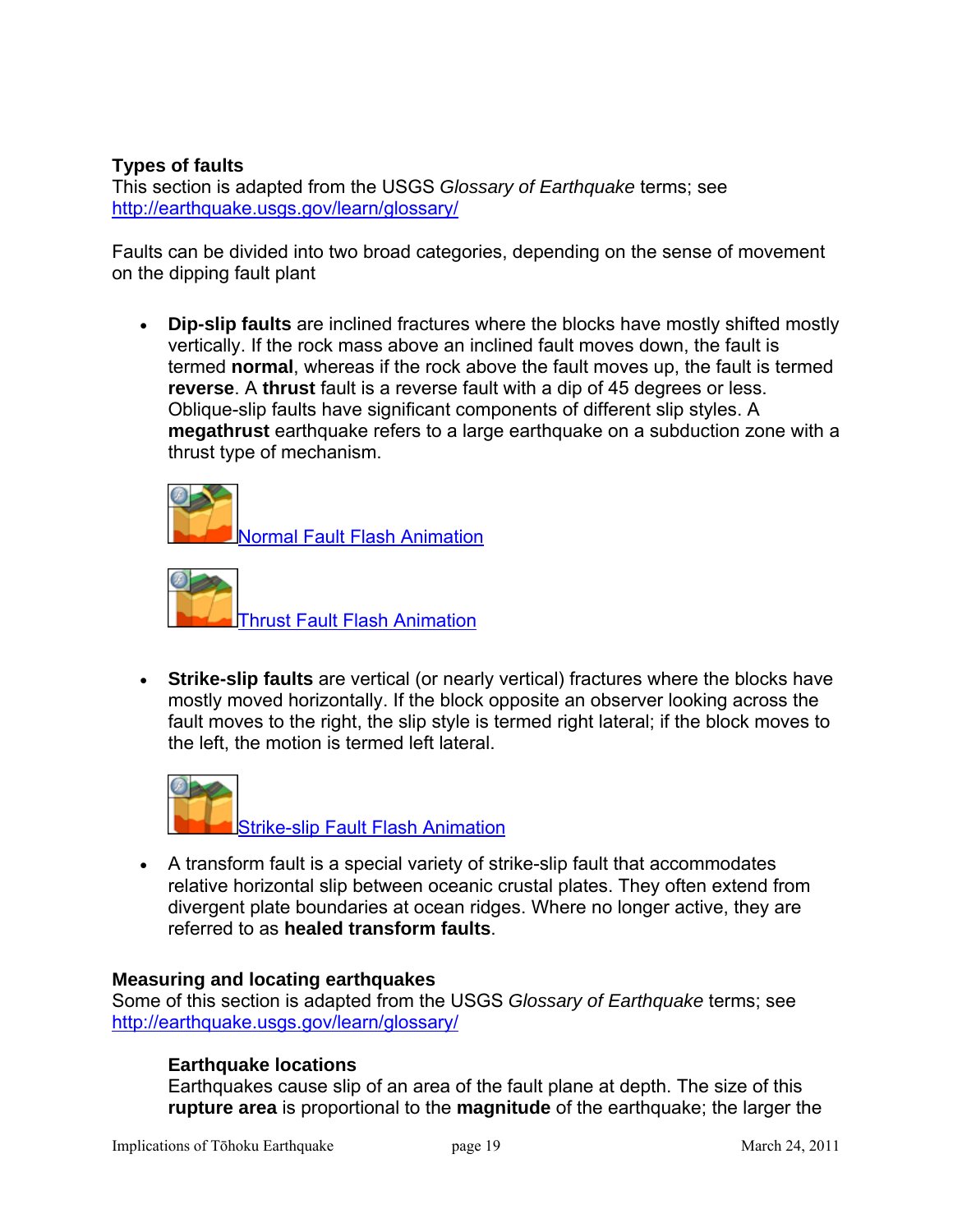### **Types of faults**

This section is adapted from the USGS *Glossary of Earthquake* terms; see <http://earthquake.usgs.gov/learn/glossary/>

Faults can be divided into two broad categories, depending on the sense of movement on the dipping fault plant

 **Dip-slip faults** are inclined fractures where the blocks have mostly shifted mostly vertically. If the rock mass above an inclined fault moves down, the fault is termed **normal**, whereas if the rock above the fault moves up, the fault is termed **reverse**. A **thrust** fault is a reverse fault with a dip of 45 degrees or less. Oblique-slip faults have significant components of different slip styles. A **megathrust** earthquake refers to a large earthquake on a subduction zone with a thrust type of mechanism.

[Normal Fault Flash Animation](http://earthquake.usgs.gov/learn/animations/animation.php?flash_title=Normal+Fault+Flash+Animation&flash_file=normalfault&flash_width=220&flash_height=320) 



 **Strike-slip faults** are vertical (or nearly vertical) fractures where the blocks have mostly moved horizontally. If the block opposite an observer looking across the fault moves to the right, the slip style is termed right lateral; if the block moves to the left, the motion is termed left lateral.



 A transform fault is a special variety of strike-slip fault that accommodates relative horizontal slip between oceanic crustal plates. They often extend from divergent plate boundaries at ocean ridges. Where no longer active, they are referred to as **healed transform faults**.

### **Measuring and locating earthquakes**

Some of this section is adapted from the USGS *Glossary of Earthquake* terms; see <http://earthquake.usgs.gov/learn/glossary/>

### **Earthquake locations**

Earthquakes cause slip of an area of the fault plane at depth. The size of this **rupture area** is proportional to the **magnitude** of the earthquake; the larger the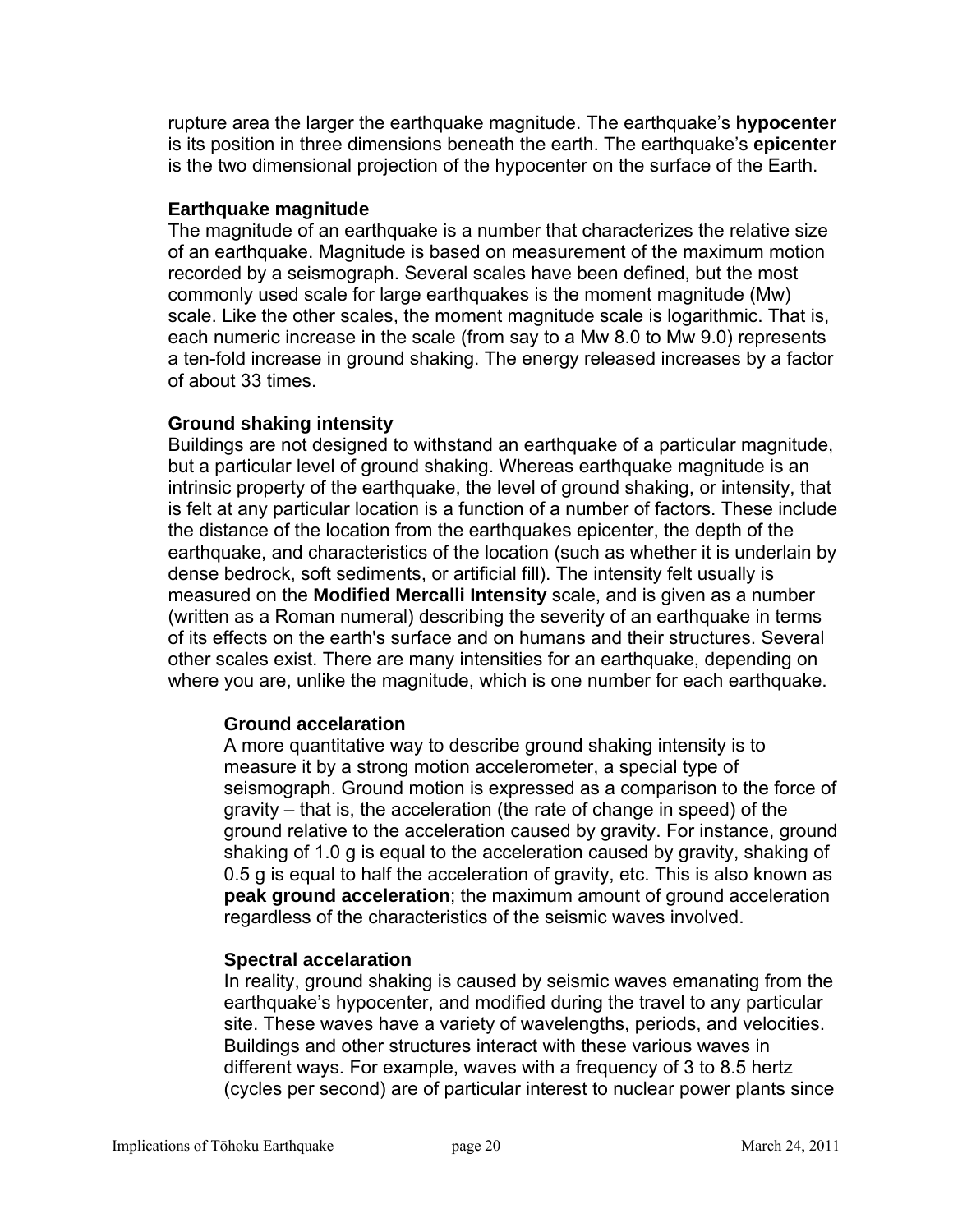rupture area the larger the earthquake magnitude. The earthquake's **hypocenter** is its position in three dimensions beneath the earth. The earthquake's **epicenter** is the two dimensional projection of the hypocenter on the surface of the Earth.

### **Earthquake magnitude**

The magnitude of an earthquake is a number that characterizes the relative size of an earthquake. Magnitude is based on measurement of the maximum motion recorded by a seismograph. Several scales have been defined, but the most commonly used scale for large earthquakes is the moment magnitude (Mw) scale. Like the other scales, the moment magnitude scale is logarithmic. That is, each numeric increase in the scale (from say to a Mw 8.0 to Mw 9.0) represents a ten-fold increase in ground shaking. The energy released increases by a factor of about 33 times.

### **Ground shaking intensity**

Buildings are not designed to withstand an earthquake of a particular magnitude, but a particular level of ground shaking. Whereas earthquake magnitude is an intrinsic property of the earthquake, the level of ground shaking, or intensity, that is felt at any particular location is a function of a number of factors. These include the distance of the location from the earthquakes epicenter, the depth of the earthquake, and characteristics of the location (such as whether it is underlain by dense bedrock, soft sediments, or artificial fill). The intensity felt usually is measured on the **Modified Mercalli Intensity** scale, and is given as a number (written as a Roman numeral) describing the severity of an earthquake in terms of its effects on the earth's surface and on humans and their structures. Several other scales exist. There are many intensities for an earthquake, depending on where you are, unlike the magnitude, which is one number for each earthquake.

### **Ground accelaration**

A more quantitative way to describe ground shaking intensity is to measure it by a strong motion accelerometer, a special type of seismograph. Ground motion is expressed as a comparison to the force of gravity – that is, the acceleration (the rate of change in speed) of the ground relative to the acceleration caused by gravity. For instance, ground shaking of 1.0 g is equal to the acceleration caused by gravity, shaking of 0.5 g is equal to half the acceleration of gravity, etc. This is also known as **peak ground acceleration**; the maximum amount of ground acceleration regardless of the characteristics of the seismic waves involved.

### **Spectral accelaration**

In reality, ground shaking is caused by seismic waves emanating from the earthquake's hypocenter, and modified during the travel to any particular site. These waves have a variety of wavelengths, periods, and velocities. Buildings and other structures interact with these various waves in different ways. For example, waves with a frequency of 3 to 8.5 hertz (cycles per second) are of particular interest to nuclear power plants since